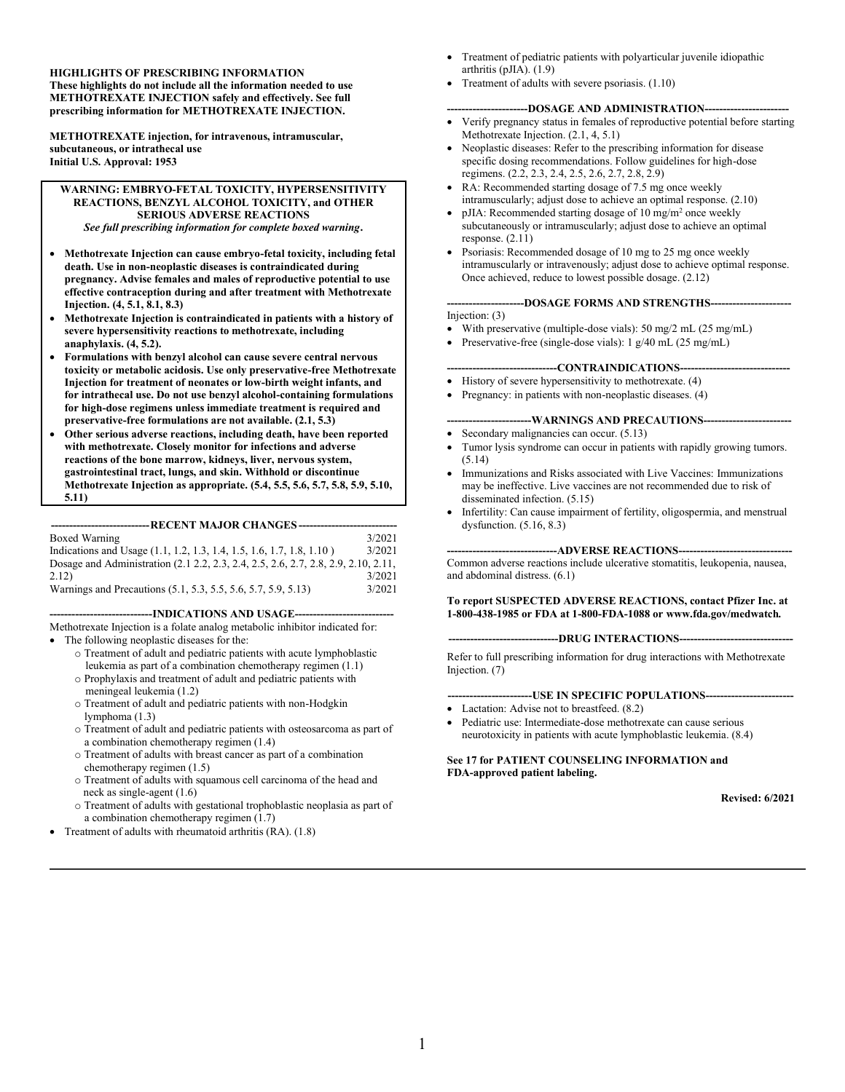**HIGHLIGHTS OF PRESCRIBING INFORMATION These highlights do not include all the information needed to use METHOTREXATE INJECTION safely and effectively. See full prescribing information for METHOTREXATE INJECTION.**

**METHOTREXATE injection, for intravenous, intramuscular, subcutaneous, or intrathecal use Initial U.S. Approval: 1953**

#### **WARNING: EMBRYO-FETAL TOXICITY, HYPERSENSITIVITY REACTIONS, BENZYL ALCOHOL TOXICITY, and OTHER SERIOUS ADVERSE REACTIONS** *See full prescribing information for complete boxed warning***.**

- **Methotrexate Injection can cause embryo-fetal toxicity, including fetal death. Use in non-neoplastic diseases is contraindicated during pregnancy. Advise females and males of reproductive potential to use effective contraception during and after treatment with Methotrexate Injection. (4, 5.1, 8.1, 8.3)**
- **Methotrexate Injection is contraindicated in patients with a history of severe hypersensitivity reactions to methotrexate, including anaphylaxis. (4, 5.2).**
- **Formulations with benzyl alcohol can cause severe central nervous toxicity or metabolic acidosis. Use only preservative-free Methotrexate Injection for treatment of neonates or low-birth weight infants, and for intrathecal use. Do not use benzyl alcohol-containing formulations for high-dose regimens unless immediate treatment is required and preservative-free formulations are not available. (2.1, 5.3)**
- **Other serious adverse reactions, including death, have been reported with methotrexate. Closely monitor for infections and adverse reactions of the bone marrow, kidneys, liver, nervous system, gastrointestinal tract, lungs, and skin. Withhold or discontinue Methotrexate Injection as appropriate. (5.4, 5.5, 5.6, 5.7, 5.8, 5.9, 5.10, 5.11)**

#### **---------------------------RECENT MAJOR CHANGES ---------------------------**

| Boxed Warning                                                                      | 3/2021 |
|------------------------------------------------------------------------------------|--------|
| Indications and Usage (1.1, 1.2, 1.3, 1.4, 1.5, 1.6, 1.7, 1.8, 1.10)               | 3/2021 |
| Dosage and Administration (2.1 2.2, 2.3, 2.4, 2.5, 2.6, 2.7, 2.8, 2.9, 2.10, 2.11, |        |
| 2.12)                                                                              | 3/2021 |
| Warnings and Precautions (5.1, 5.3, 5.5, 5.6, 5.7, 5.9, 5.13)                      | 3/2021 |

#### **----------------------------INDICATIONS AND USAGE---------------------------**

Methotrexate Injection is a folate analog metabolic inhibitor indicated for: • The following neoplastic diseases for the:

- o Treatment of adult and pediatric patients with acute lymphoblastic leukemia as part of a combination chemotherapy regimen (1.1)
- o Prophylaxis and treatment of adult and pediatric patients with meningeal leukemia (1.2)
- o Treatment of adult and pediatric patients with non-Hodgkin lymphoma (1.3)
- o Treatment of adult and pediatric patients with osteosarcoma as part of a combination chemotherapy regimen (1.4)
- o Treatment of adults with breast cancer as part of a combination chemotherapy regimen (1.5)
- o Treatment of adults with squamous cell carcinoma of the head and neck as single-agent (1.6)
- o Treatment of adults with gestational trophoblastic neoplasia as part of a combination chemotherapy regimen (1.7)
- Treatment of adults with rheumatoid arthritis (RA). (1.8)
- Treatment of pediatric patients with polyarticular juvenile idiopathic arthritis (pJIA). (1.9)
- Treatment of adults with severe psoriasis. (1.10)

#### **----------------------DOSAGE AND ADMINISTRATION-----------------------**

- Verify pregnancy status in females of reproductive potential before starting Methotrexate Injection. (2.1, 4, 5.1)
- Neoplastic diseases: Refer to the prescribing information for disease specific dosing recommendations. Follow guidelines for high-dose regimens. (2.2, 2.3, 2.4, 2.5, 2.6, 2.7, 2.8, 2.9)
- RA: Recommended starting dosage of 7.5 mg once weekly intramuscularly; adjust dose to achieve an optimal response. (2.10)
- pJIA: Recommended starting dosage of 10 mg/m<sup>2</sup> once weekly subcutaneously or intramuscularly; adjust dose to achieve an optimal response. (2.11)
- Psoriasis: Recommended dosage of 10 mg to 25 mg once weekly intramuscularly or intravenously; adjust dose to achieve optimal response. Once achieved, reduce to lowest possible dosage. (2.12)

#### **---------------------DOSAGE FORMS AND STRENGTHS----------------------**

#### Injection: (3)

- With preservative (multiple-dose vials): 50 mg/2 mL (25 mg/mL)
- Preservative-free (single-dose vials): 1 g/40 mL (25 mg/mL)

#### ----CONTRAINDICATIONS----

- History of severe hypersensitivity to methotrexate. (4)
- Pregnancy: in patients with non-neoplastic diseases. (4)

#### **-----------------------WARNINGS AND PRECAUTIONS------------------------**

- Secondary malignancies can occur. (5.13)
- Tumor lysis syndrome can occur in patients with rapidly growing tumors. (5.14)
- Immunizations and Risks associated with Live Vaccines: Immunizations may be ineffective. Live vaccines are not recommended due to risk of disseminated infection. (5.15)
- Infertility: Can cause impairment of fertility, oligospermia, and menstrual dysfunction. (5.16, 8.3)

#### ---ADVERSE REACTIONS---

Common adverse reactions include ulcerative stomatitis, leukopenia, nausea, and abdominal distress. (6.1)

#### **To report SUSPECTED ADVERSE REACTIONS, contact Pfizer Inc. at 1-800-438-1985 or FDA at 1-800-FDA-1088 or www.fda.gov/medwatch***.*

#### **------------------------------DRUG INTERACTIONS-------------------------------**

Refer to full prescribing information for drug interactions with Methotrexate Injection. (7)

#### **-----------------------USE IN SPECIFIC POPULATIONS------------------------**

- Lactation: Advise not to breastfeed.  $(8.2)$
- Pediatric use: Intermediate-dose methotrexate can cause serious neurotoxicity in patients with acute lymphoblastic leukemia. (8.4)

#### **See 17 for PATIENT COUNSELING INFORMATION and FDA-approved patient labeling.**

#### **Revised: 6/2021**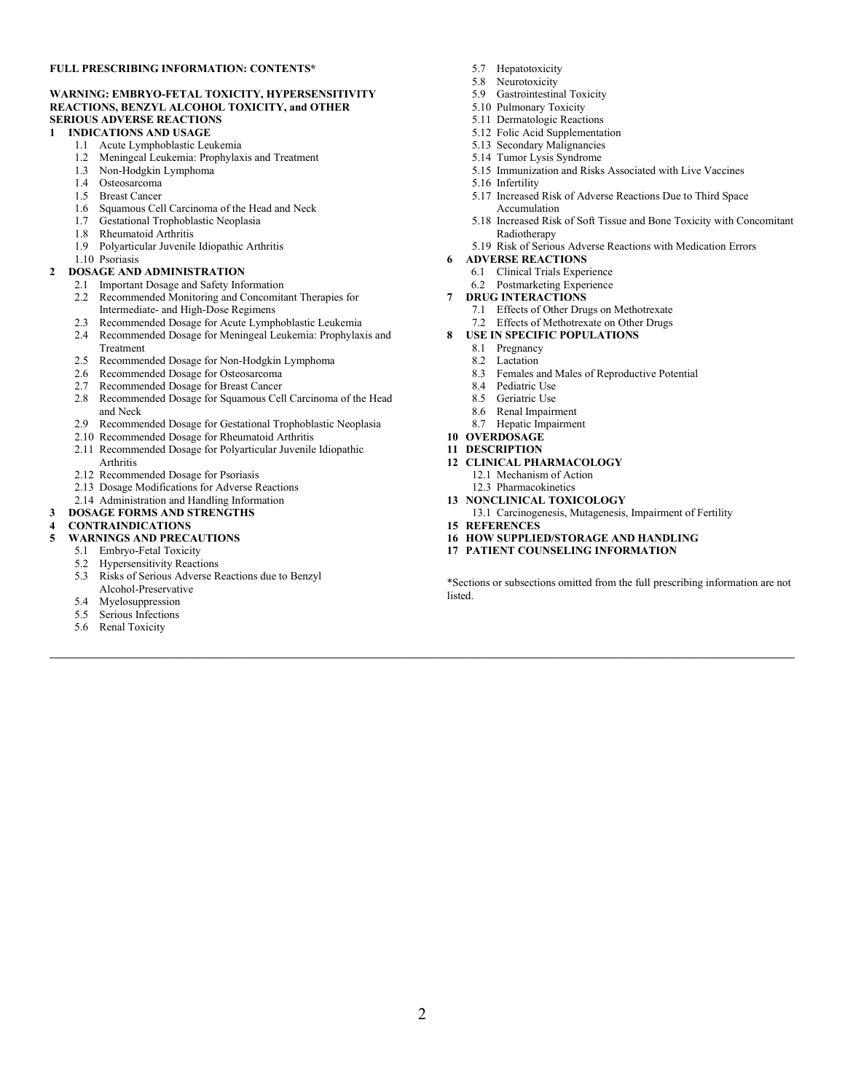#### **FULL PRESCRIBING INFORMATION: CONTENTS\***

#### **WARNING: EMBRYO-FETAL TOXICITY, HYPERSENSITIVITY REACTIONS, BENZYL ALCOHOL TOXICITY, and OTHER SERIOUS ADVERSE REACTIONS**

#### **1 INDICATIONS AND USAGE**

- 1.1 Acute Lymphoblastic Leukemia
- 1.2 Meningeal Leukemia: Prophylaxis and Treatment
- 1.3 Non-Hodgkin Lymphoma
- 1.4 Osteosarcoma
- 1.5 Breast Cancer
- 1.6 Squamous Cell Carcinoma of the Head and Neck
- 1.7 Gestational Trophoblastic Neoplasia
- 1.8 Rheumatoid Arthritis
- 1.9 Polyarticular Juvenile Idiopathic Arthritis
- 1.10 Psoriasis

#### **2 DOSAGE AND ADMINISTRATION**

- 2.1 Important Dosage and Safety Information
- 2.2 Recommended Monitoring and Concomitant Therapies for Intermediate- and High-Dose Regimens
- 2.3 Recommended Dosage for Acute Lymphoblastic Leukemia
- 2.4 Recommended Dosage for Meningeal Leukemia: Prophylaxis and Treatment
- 2.5 Recommended Dosage for Non-Hodgkin Lymphoma
- 2.6 Recommended Dosage for Osteosarcoma
- 2.7 Recommended Dosage for Breast Cancer
- 2.8 Recommended Dosage for Squamous Cell Carcinoma of the Head and Neck
- 2.9 Recommended Dosage for Gestational Trophoblastic Neoplasia
- 2.10 Recommended Dosage for Rheumatoid Arthritis
- 2.11 Recommended Dosage for Polyarticular Juvenile Idiopathic
- Arthritis
- 2.12 Recommended Dosage for Psoriasis
- 2.13 Dosage Modifications for Adverse Reactions
- 2.14 Administration and Handling Information

#### **3 DOSAGE FORMS AND STRENGTHS**

#### **4 CONTRAINDICATIONS**

- **5 WARNINGS AND PRECAUTIONS**
	- 5.1 Embryo-Fetal Toxicity
	- 5.2 Hypersensitivity Reactions
	- 5.3 Risks of Serious Adverse Reactions due to Benzyl Alcohol-Preservative
	- 5.4 Myelosuppression
	- 5.5 Serious Infections
	- 5.6 Renal Toxicity
- 5.7 Hepatotoxicity
- 5.8 Neurotoxicity
- 5.9 Gastrointestinal Toxicity
- 5.10 Pulmonary Toxicity
- 5.11 Dermatologic Reactions
- 5.12 Folic Acid Supplementation
- 5.13 Secondary Malignancies
- 5.14 Tumor Lysis Syndrome
- 5.15 Immunization and Risks Associated with Live Vaccines
- 5.16 Infertility
- 5.17 Increased Risk of Adverse Reactions Due to Third Space Accumulation
- 5.18 Increased Risk of Soft Tissue and Bone Toxicity with Concomitant Radiotherapy
- 5.19 Risk of Serious Adverse Reactions with Medication Errors

#### **6 ADVERSE REACTIONS**

- 6.1 Clinical Trials Experience
- 6.2 Postmarketing Experience
- **7 DRUG INTERACTIONS**
	- 7.1 Effects of Other Drugs on Methotrexate
	- 7.2 Effects of Methotrexate on Other Drugs
- **8 USE IN SPECIFIC POPULATIONS**
	- 8.1 Pregnancy
	- 8.2 Lactation
	- 8.3 Females and Males of Reproductive Potential
	- 8.4 Pediatric Use
	- 8.5 Geriatric Use
	- 8.6 Renal Impairment
	- 8.7 Hepatic Impairment
- **10 OVERDOSAGE**

#### **11 DESCRIPTION**

- **12 CLINICAL PHARMACOLOGY**
	- 12.1 Mechanism of Action
	- 12.3 Pharmacokinetics
- **13 NONCLINICAL TOXICOLOGY**
- 13.1 Carcinogenesis, Mutagenesis, Impairment of Fertility
- **15 REFERENCES**
- **16 HOW SUPPLIED/STORAGE AND HANDLING**
- **17 PATIENT COUNSELING INFORMATION**

\*Sections or subsections omitted from the full prescribing information are not listed.

**\_\_\_\_\_\_\_\_\_\_\_\_\_\_\_\_\_\_\_\_\_\_\_\_\_\_\_\_\_\_\_\_\_\_\_\_\_\_\_\_\_\_\_\_\_\_\_\_\_\_\_\_\_\_\_\_\_\_\_\_\_\_\_\_\_\_\_\_\_\_\_\_\_\_\_\_\_\_\_\_\_\_\_\_\_\_\_\_\_\_\_\_\_\_\_\_\_\_\_\_\_\_\_\_\_\_\_\_\_\_\_\_\_\_\_\_\_\_\_\_\_\_\_\_\_\_\_\_\_\_\_\_\_\_\_**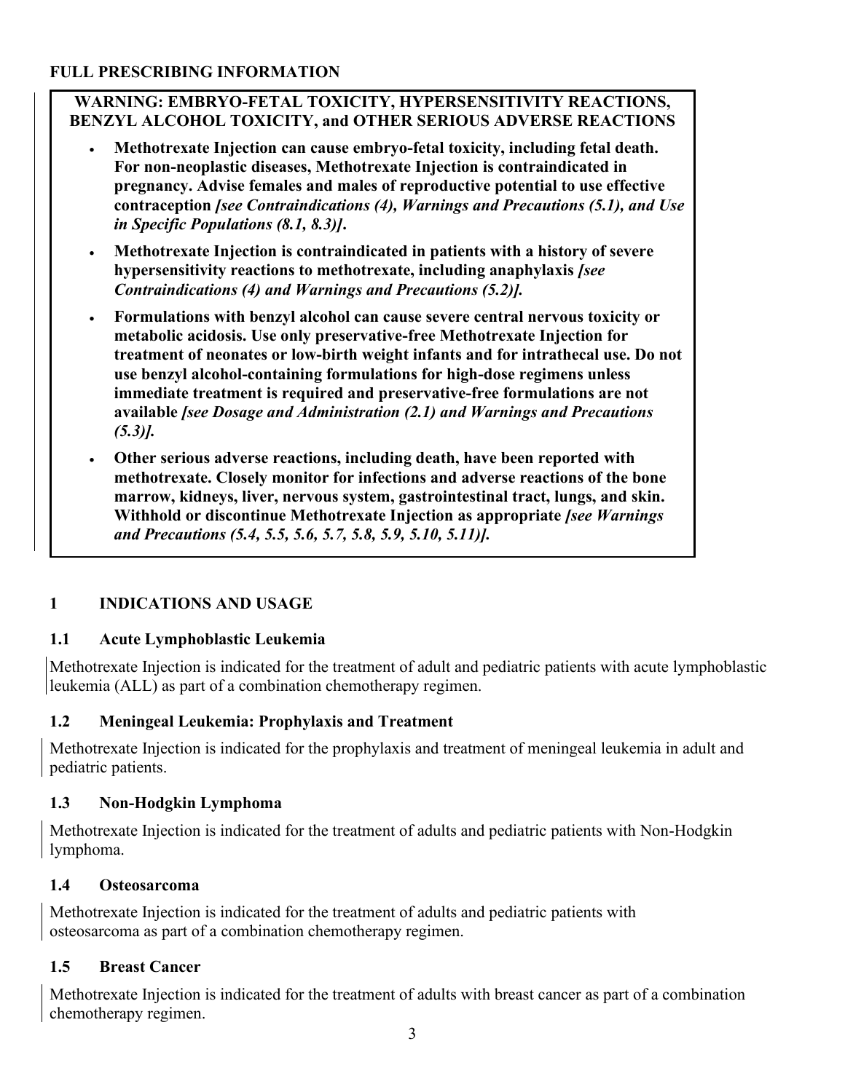#### **FULL PRESCRIBING INFORMATION**

#### **WARNING: EMBRYO-FETAL TOXICITY, HYPERSENSITIVITY REACTIONS, BENZYL ALCOHOL TOXICITY, and OTHER SERIOUS ADVERSE REACTIONS**

- **Methotrexate Injection can cause embryo-fetal toxicity, including fetal death. For non-neoplastic diseases, Methotrexate Injection is contraindicated in pregnancy. Advise females and males of reproductive potential to use effective contraception** *[see Contraindications (4), Warnings and Precautions (5.1), and Use in Specific Populations (8.1, 8.3)]***.**
- **Methotrexate Injection is contraindicated in patients with a history of severe hypersensitivity reactions to methotrexate, including anaphylaxis** *[see Contraindications (4) and Warnings and Precautions (5.2)].*
- **Formulations with benzyl alcohol can cause severe central nervous toxicity or metabolic acidosis. Use only preservative-free Methotrexate Injection for treatment of neonates or low-birth weight infants and for intrathecal use. Do not use benzyl alcohol-containing formulations for high-dose regimens unless immediate treatment is required and preservative-free formulations are not available** *[see Dosage and Administration (2.1) and Warnings and Precautions (5.3)].*
- **Other serious adverse reactions, including death, have been reported with methotrexate. Closely monitor for infections and adverse reactions of the bone marrow, kidneys, liver, nervous system, gastrointestinal tract, lungs, and skin. Withhold or discontinue Methotrexate Injection as appropriate** *[see Warnings and Precautions (5.4, 5.5, 5.6, 5.7, 5.8, 5.9, 5.10, 5.11)].*

# **1 INDICATIONS AND USAGE**

## **1.1 Acute Lymphoblastic Leukemia**

Methotrexate Injection is indicated for the treatment of adult and pediatric patients with acute lymphoblastic leukemia (ALL) as part of a combination chemotherapy regimen.

## **1.2 Meningeal Leukemia: Prophylaxis and Treatment**

Methotrexate Injection is indicated for the prophylaxis and treatment of meningeal leukemia in adult and pediatric patients.

## **1.3 Non-Hodgkin Lymphoma**

Methotrexate Injection is indicated for the treatment of adults and pediatric patients with Non-Hodgkin lymphoma.

#### **1.4 Osteosarcoma**

Methotrexate Injection is indicated for the treatment of adults and pediatric patients with osteosarcoma as part of a combination chemotherapy regimen.

## **1.5 Breast Cancer**

Methotrexate Injection is indicated for the treatment of adults with breast cancer as part of a combination chemotherapy regimen.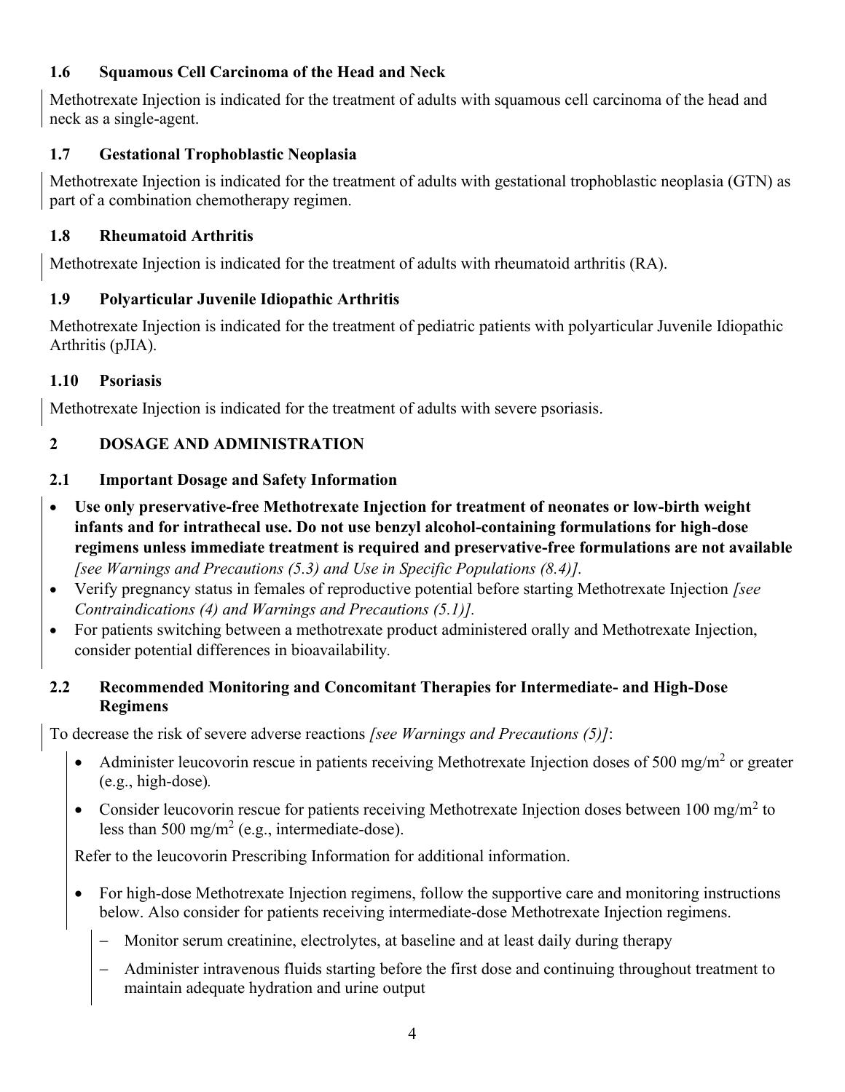## **1.6 Squamous Cell Carcinoma of the Head and Neck**

Methotrexate Injection is indicated for the treatment of adults with squamous cell carcinoma of the head and neck as a single-agent.

# **1.7 Gestational Trophoblastic Neoplasia**

Methotrexate Injection is indicated for the treatment of adults with gestational trophoblastic neoplasia (GTN) as part of a combination chemotherapy regimen.

# **1.8 Rheumatoid Arthritis**

Methotrexate Injection is indicated for the treatment of adults with rheumatoid arthritis (RA).

# **1.9 Polyarticular Juvenile Idiopathic Arthritis**

Methotrexate Injection is indicated for the treatment of pediatric patients with polyarticular Juvenile Idiopathic Arthritis (pJIA).

# **1.10 Psoriasis**

Methotrexate Injection is indicated for the treatment of adults with severe psoriasis.

# **2 DOSAGE AND ADMINISTRATION**

# **2.1 Important Dosage and Safety Information**

- **Use only preservative-free Methotrexate Injection for treatment of neonates or low-birth weight infants and for intrathecal use. Do not use benzyl alcohol-containing formulations for high-dose regimens unless immediate treatment is required and preservative-free formulations are not available**  *[see Warnings and Precautions (5.3) and Use in Specific Populations (8.4)].*
- Verify pregnancy status in females of reproductive potential before starting Methotrexate Injection *[see Contraindications (4) and Warnings and Precautions (5.1)].*
- For patients switching between a methotrexate product administered orally and Methotrexate Injection, consider potential differences in bioavailability*.*

## **2.2 Recommended Monitoring and Concomitant Therapies for Intermediate- and High-Dose Regimens**

To decrease the risk of severe adverse reactions *[see Warnings and Precautions (5)]*:

- Administer leucovorin rescue in patients receiving Methotrexate Injection doses of 500 mg/m<sup>2</sup> or greater (e.g., high-dose)*.*
- Consider leucovorin rescue for patients receiving Methotrexate Injection doses between 100 mg/m<sup>2</sup> to less than 500 mg/m<sup>2</sup> (e.g., intermediate-dose).

Refer to the leucovorin Prescribing Information for additional information.

- For high-dose Methotrexate Injection regimens, follow the supportive care and monitoring instructions below. Also consider for patients receiving intermediate-dose Methotrexate Injection regimens.
	- Monitor serum creatinine, electrolytes, at baseline and at least daily during therapy
	- − Administer intravenous fluids starting before the first dose and continuing throughout treatment to maintain adequate hydration and urine output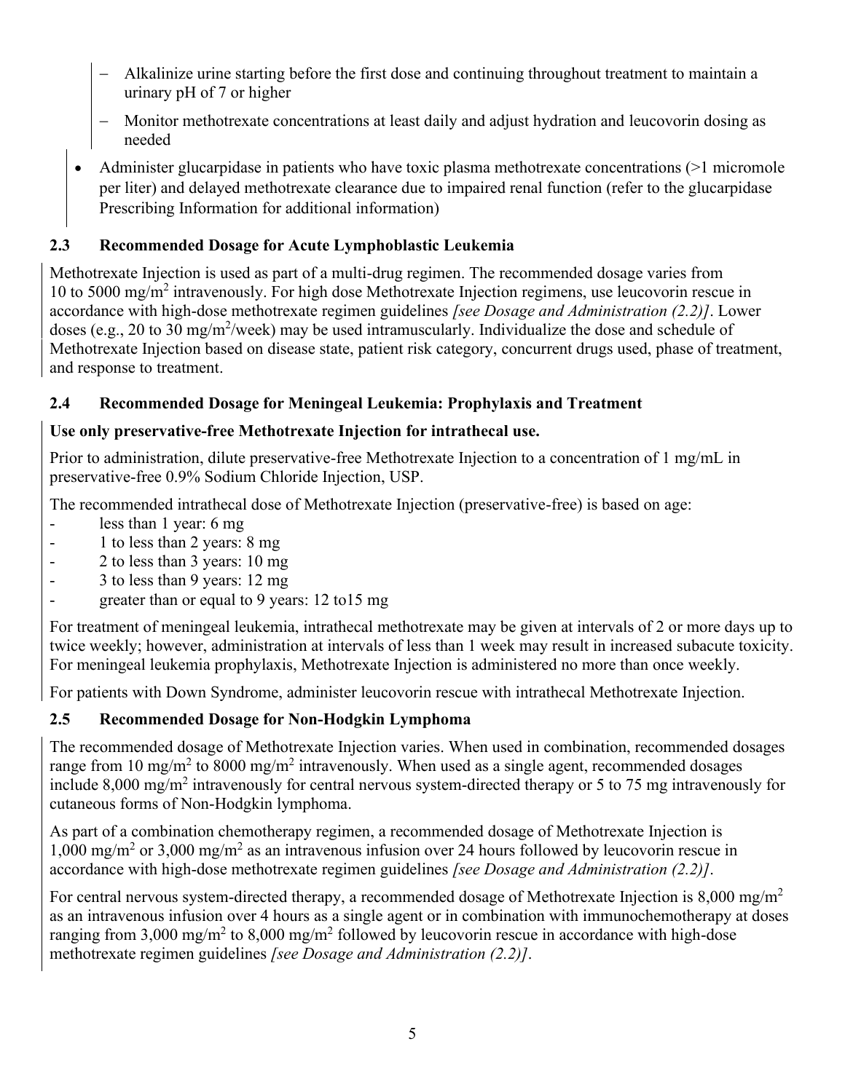- − Alkalinize urine starting before the first dose and continuing throughout treatment to maintain a urinary pH of 7 or higher
- − Monitor methotrexate concentrations at least daily and adjust hydration and leucovorin dosing as needed
- Administer glucarpidase in patients who have toxic plasma methotrexate concentrations (>1 micromole per liter) and delayed methotrexate clearance due to impaired renal function (refer to the glucarpidase Prescribing Information for additional information)

# **2.3 Recommended Dosage for Acute Lymphoblastic Leukemia**

Methotrexate Injection is used as part of a multi-drug regimen. The recommended dosage varies from 10 to 5000 mg/m<sup>2</sup> intravenously. For high dose Methotrexate Injection regimens, use leucovorin rescue in accordance with high-dose methotrexate regimen guidelines *[see Dosage and Administration (2.2)]*. Lower doses (e.g., 20 to 30 mg/m<sup>2</sup>/week) may be used intramuscularly. Individualize the dose and schedule of Methotrexate Injection based on disease state, patient risk category, concurrent drugs used, phase of treatment, and response to treatment.

## **2.4 Recommended Dosage for Meningeal Leukemia: Prophylaxis and Treatment**

## **Use only preservative-free Methotrexate Injection for intrathecal use.**

Prior to administration, dilute preservative-free Methotrexate Injection to a concentration of 1 mg/mL in preservative-free 0.9% Sodium Chloride Injection, USP.

The recommended intrathecal dose of Methotrexate Injection (preservative-free) is based on age:

- less than 1 year: 6 mg
- 1 to less than 2 years: 8 mg
- 2 to less than 3 years: 10 mg
- 3 to less than 9 years: 12 mg
- greater than or equal to 9 years:  $12 \text{ to } 15 \text{ mg}$

For treatment of meningeal leukemia, intrathecal methotrexate may be given at intervals of 2 or more days up to twice weekly; however, administration at intervals of less than 1 week may result in increased subacute toxicity. For meningeal leukemia prophylaxis, Methotrexate Injection is administered no more than once weekly.

For patients with Down Syndrome, administer leucovorin rescue with intrathecal Methotrexate Injection.

# **2.5 Recommended Dosage for Non-Hodgkin Lymphoma**

The recommended dosage of Methotrexate Injection varies. When used in combination, recommended dosages range from 10 mg/m<sup>2</sup> to 8000 mg/m<sup>2</sup> intravenously. When used as a single agent, recommended dosages include 8,000 mg/m<sup>2</sup> intravenously for central nervous system-directed therapy or 5 to 75 mg intravenously for cutaneous forms of Non-Hodgkin lymphoma.

As part of a combination chemotherapy regimen, a recommended dosage of Methotrexate Injection is 1,000 mg/m<sup>2</sup> or 3,000 mg/m<sup>2</sup> as an intravenous infusion over 24 hours followed by leucovorin rescue in accordance with high-dose methotrexate regimen guidelines *[see Dosage and Administration (2.2)]*.

For central nervous system-directed therapy, a recommended dosage of Methotrexate Injection is 8,000 mg/m<sup>2</sup> as an intravenous infusion over 4 hours as a single agent or in combination with immunochemotherapy at doses ranging from 3,000 mg/m<sup>2</sup> to 8,000 mg/m<sup>2</sup> followed by leucovorin rescue in accordance with high-dose methotrexate regimen guidelines *[see Dosage and Administration (2.2)]*.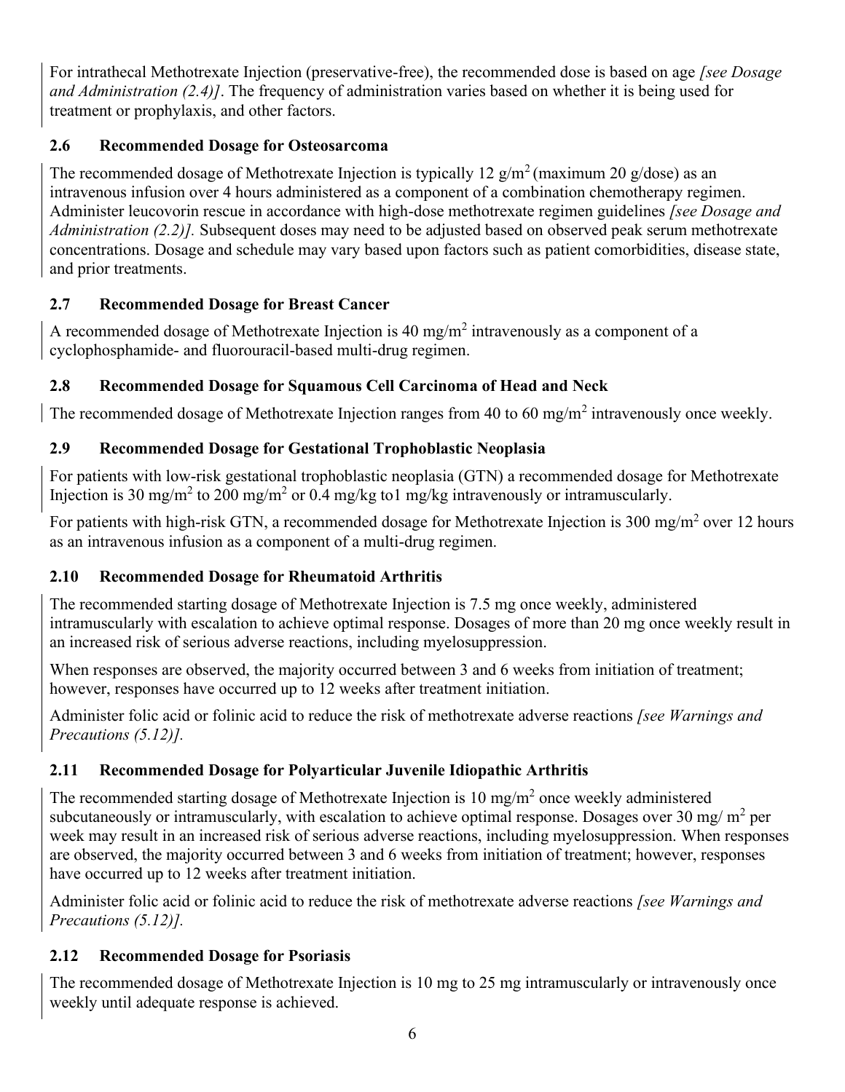For intrathecal Methotrexate Injection (preservative-free), the recommended dose is based on age *[see Dosage and Administration (2.4)]*. The frequency of administration varies based on whether it is being used for treatment or prophylaxis, and other factors.

# **2.6 Recommended Dosage for Osteosarcoma**

The recommended dosage of Methotrexate Injection is typically 12  $g/m^2$  (maximum 20  $g/dose$ ) as an intravenous infusion over 4 hours administered as a component of a combination chemotherapy regimen. Administer leucovorin rescue in accordance with high-dose methotrexate regimen guidelines *[see Dosage and Administration (2.2)].* Subsequent doses may need to be adjusted based on observed peak serum methotrexate concentrations. Dosage and schedule may vary based upon factors such as patient comorbidities, disease state, and prior treatments.

# **2.7 Recommended Dosage for Breast Cancer**

A recommended dosage of Methotrexate Injection is 40 mg/m<sup>2</sup> intravenously as a component of a cyclophosphamide- and fluorouracil-based multi-drug regimen.

# **2.8 Recommended Dosage for Squamous Cell Carcinoma of Head and Neck**

The recommended dosage of Methotrexate Injection ranges from 40 to 60 mg/m<sup>2</sup> intravenously once weekly.

# **2.9 Recommended Dosage for Gestational Trophoblastic Neoplasia**

For patients with low-risk gestational trophoblastic neoplasia (GTN) a recommended dosage for Methotrexate Injection is 30 mg/m<sup>2</sup> to 200 mg/m<sup>2</sup> or 0.4 mg/kg to1 mg/kg intravenously or intramuscularly.

For patients with high-risk GTN, a recommended dosage for Methotrexate Injection is 300 mg/m<sup>2</sup> over 12 hours as an intravenous infusion as a component of a multi-drug regimen.

# **2.10 Recommended Dosage for Rheumatoid Arthritis**

The recommended starting dosage of Methotrexate Injection is 7.5 mg once weekly, administered intramuscularly with escalation to achieve optimal response. Dosages of more than 20 mg once weekly result in an increased risk of serious adverse reactions, including myelosuppression.

When responses are observed, the majority occurred between 3 and 6 weeks from initiation of treatment; however, responses have occurred up to 12 weeks after treatment initiation.

Administer folic acid or folinic acid to reduce the risk of methotrexate adverse reactions *[see Warnings and Precautions (5.12)].*

# **2.11 Recommended Dosage for Polyarticular Juvenile Idiopathic Arthritis**

The recommended starting dosage of Methotrexate Injection is  $10 \text{ mg/m}^2$  once weekly administered subcutaneously or intramuscularly, with escalation to achieve optimal response. Dosages over 30 mg/m<sup>2</sup> per week may result in an increased risk of serious adverse reactions, including myelosuppression. When responses are observed, the majority occurred between 3 and 6 weeks from initiation of treatment; however, responses have occurred up to 12 weeks after treatment initiation.

Administer folic acid or folinic acid to reduce the risk of methotrexate adverse reactions *[see Warnings and Precautions (5.12)].*

# **2.12 Recommended Dosage for Psoriasis**

The recommended dosage of Methotrexate Injection is 10 mg to 25 mg intramuscularly or intravenously once weekly until adequate response is achieved.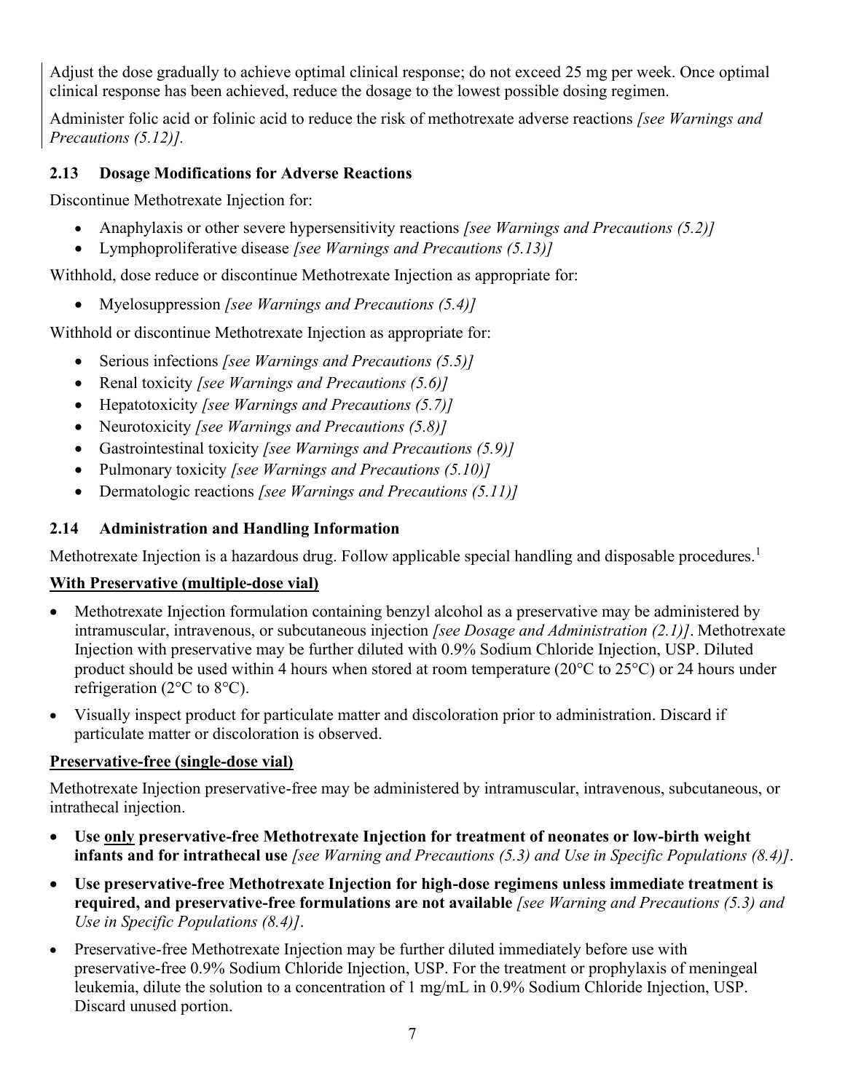Adjust the dose gradually to achieve optimal clinical response; do not exceed 25 mg per week. Once optimal clinical response has been achieved, reduce the dosage to the lowest possible dosing regimen.

Administer folic acid or folinic acid to reduce the risk of methotrexate adverse reactions *[see Warnings and Precautions (5.12)].*

## **2.13 Dosage Modifications for Adverse Reactions**

Discontinue Methotrexate Injection for:

- Anaphylaxis or other severe hypersensitivity reactions *[see Warnings and Precautions (5.2)]*
- Lymphoproliferative disease *[see Warnings and Precautions (5.13)]*

Withhold, dose reduce or discontinue Methotrexate Injection as appropriate for:

• Myelosuppression *[see Warnings and Precautions (5.4)]*

Withhold or discontinue Methotrexate Injection as appropriate for:

- Serious infections *[see Warnings and Precautions (5.5)]*
- Renal toxicity *[see Warnings and Precautions (5.6)]*
- Hepatotoxicity *[see Warnings and Precautions (5.7)]*
- Neurotoxicity *[see Warnings and Precautions (5.8)]*
- Gastrointestinal toxicity *[see Warnings and Precautions (5.9)]*
- Pulmonary toxicity *[see Warnings and Precautions (5.10)]*
- Dermatologic reactions *[see Warnings and Precautions (5.11)]*

# **2.14 Administration and Handling Information**

Methotrexate Injection is a hazardous drug. Follow applicable special handling and disposable procedures.<sup>1</sup>

# **With Preservative (multiple-dose vial)**

- Methotrexate Injection formulation containing benzyl alcohol as a preservative may be administered by intramuscular, intravenous, or subcutaneous injection *[see Dosage and Administration (2.1)]*. Methotrexate Injection with preservative may be further diluted with 0.9% Sodium Chloride Injection, USP. Diluted product should be used within 4 hours when stored at room temperature (20°C to 25°C) or 24 hours under refrigeration (2°C to 8°C).
- Visually inspect product for particulate matter and discoloration prior to administration. Discard if particulate matter or discoloration is observed.

# **Preservative-free (single-dose vial)**

Methotrexate Injection preservative-free may be administered by intramuscular, intravenous, subcutaneous, or intrathecal injection.

- **Use only preservative-free Methotrexate Injection for treatment of neonates or low-birth weight infants and for intrathecal use** *[see Warning and Precautions (5.3) and Use in Specific Populations (8.4)]*.
- **Use preservative-free Methotrexate Injection for high-dose regimens unless immediate treatment is required, and preservative-free formulations are not available** *[see Warning and Precautions (5.3) and Use in Specific Populations (8.4)]*.
- Preservative-free Methotrexate Injection may be further diluted immediately before use with preservative-free 0.9% Sodium Chloride Injection, USP. For the treatment or prophylaxis of meningeal leukemia, dilute the solution to a concentration of 1 mg/mL in 0.9% Sodium Chloride Injection, USP. Discard unused portion.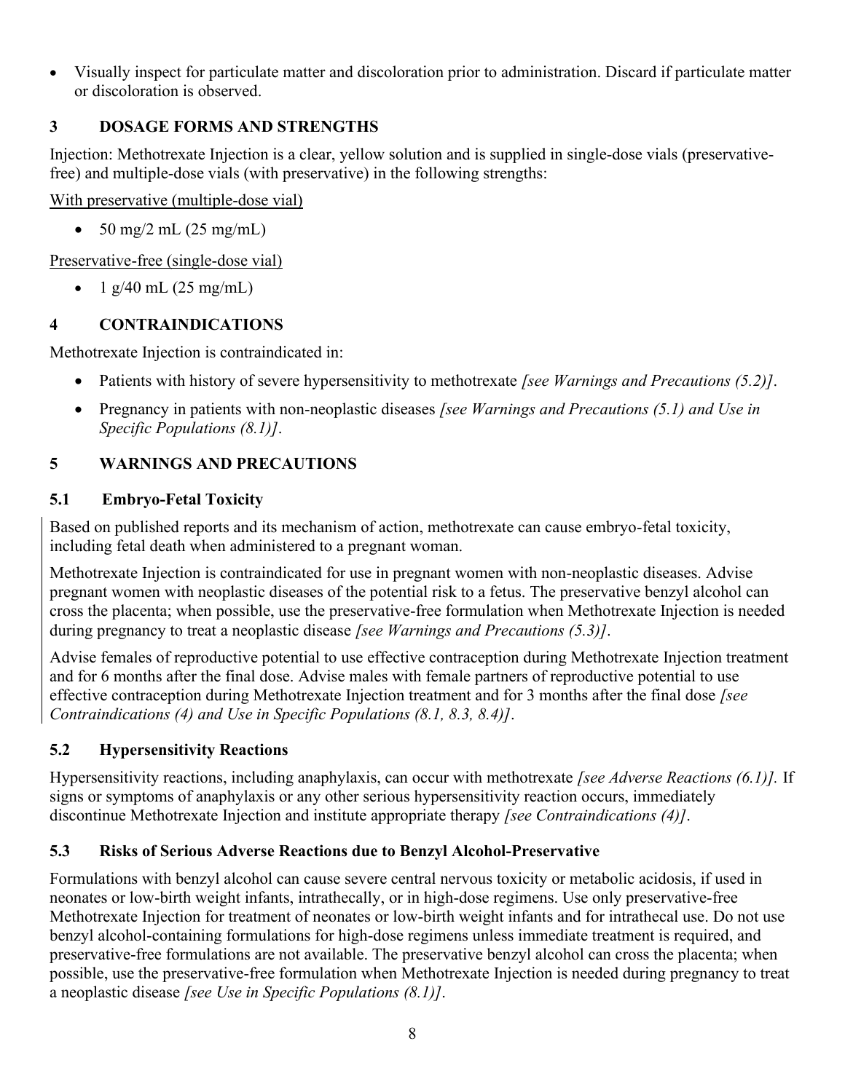• Visually inspect for particulate matter and discoloration prior to administration. Discard if particulate matter or discoloration is observed.

# **3 DOSAGE FORMS AND STRENGTHS**

Injection: Methotrexate Injection is a clear, yellow solution and is supplied in single-dose vials (preservativefree) and multiple-dose vials (with preservative) in the following strengths:

With preservative (multiple-dose vial)

•  $50 \text{ mg}/2 \text{ mL} (25 \text{ mg}/\text{mL})$ 

Preservative-free (single-dose vial)

• 1 g/40 mL  $(25 \text{ mg/mL})$ 

# **4 CONTRAINDICATIONS**

Methotrexate Injection is contraindicated in:

- Patients with history of severe hypersensitivity to methotrexate *[see Warnings and Precautions (5.2)]*.
- Pregnancy in patients with non-neoplastic diseases *[see Warnings and Precautions (5.1) and Use in Specific Populations (8.1)]*.

# **5 WARNINGS AND PRECAUTIONS**

# **5.1 Embryo-Fetal Toxicity**

Based on published reports and its mechanism of action, methotrexate can cause embryo-fetal toxicity, including fetal death when administered to a pregnant woman.

Methotrexate Injection is contraindicated for use in pregnant women with non-neoplastic diseases. Advise pregnant women with neoplastic diseases of the potential risk to a fetus. The preservative benzyl alcohol can cross the placenta; when possible, use the preservative-free formulation when Methotrexate Injection is needed during pregnancy to treat a neoplastic disease *[see Warnings and Precautions (5.3)]*.

Advise females of reproductive potential to use effective contraception during Methotrexate Injection treatment and for 6 months after the final dose. Advise males with female partners of reproductive potential to use effective contraception during Methotrexate Injection treatment and for 3 months after the final dose *[see Contraindications (4) and Use in Specific Populations (8.1, 8.3, 8.4)]*.

# **5.2 Hypersensitivity Reactions**

Hypersensitivity reactions, including anaphylaxis, can occur with methotrexate *[see Adverse Reactions (6.1)].* If signs or symptoms of anaphylaxis or any other serious hypersensitivity reaction occurs, immediately discontinue Methotrexate Injection and institute appropriate therapy *[see Contraindications (4)]*.

# **5.3 Risks of Serious Adverse Reactions due to Benzyl Alcohol-Preservative**

Formulations with benzyl alcohol can cause severe central nervous toxicity or metabolic acidosis, if used in neonates or low-birth weight infants, intrathecally, or in high-dose regimens. Use only preservative-free Methotrexate Injection for treatment of neonates or low-birth weight infants and for intrathecal use. Do not use benzyl alcohol-containing formulations for high-dose regimens unless immediate treatment is required, and preservative-free formulations are not available. The preservative benzyl alcohol can cross the placenta; when possible, use the preservative-free formulation when Methotrexate Injection is needed during pregnancy to treat a neoplastic disease *[see Use in Specific Populations (8.1)]*.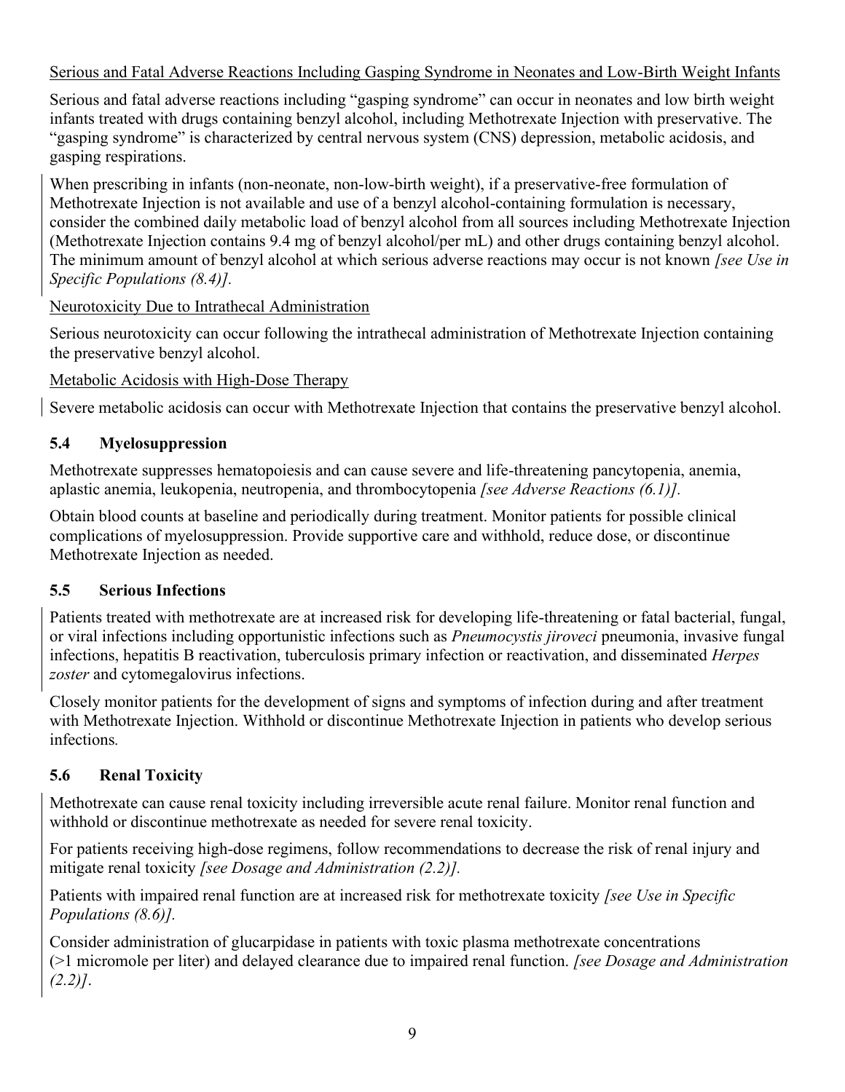## Serious and Fatal Adverse Reactions Including Gasping Syndrome in Neonates and Low-Birth Weight Infants

Serious and fatal adverse reactions including "gasping syndrome" can occur in neonates and low birth weight infants treated with drugs containing benzyl alcohol, including Methotrexate Injection with preservative. The "gasping syndrome" is characterized by central nervous system (CNS) depression, metabolic acidosis, and gasping respirations.

When prescribing in infants (non-neonate, non-low-birth weight), if a preservative-free formulation of Methotrexate Injection is not available and use of a benzyl alcohol-containing formulation is necessary, consider the combined daily metabolic load of benzyl alcohol from all sources including Methotrexate Injection (Methotrexate Injection contains 9.4 mg of benzyl alcohol/per mL) and other drugs containing benzyl alcohol. The minimum amount of benzyl alcohol at which serious adverse reactions may occur is not known *[see Use in Specific Populations (8.4)].*

Neurotoxicity Due to Intrathecal Administration

Serious neurotoxicity can occur following the intrathecal administration of Methotrexate Injection containing the preservative benzyl alcohol.

Metabolic Acidosis with High-Dose Therapy

Severe metabolic acidosis can occur with Methotrexate Injection that contains the preservative benzyl alcohol.

# **5.4 Myelosuppression**

Methotrexate suppresses hematopoiesis and can cause severe and life-threatening pancytopenia, anemia, aplastic anemia, leukopenia, neutropenia, and thrombocytopenia *[see Adverse Reactions (6.1)].*

Obtain blood counts at baseline and periodically during treatment. Monitor patients for possible clinical complications of myelosuppression. Provide supportive care and withhold, reduce dose, or discontinue Methotrexate Injection as needed.

## **5.5 Serious Infections**

Patients treated with methotrexate are at increased risk for developing life-threatening or fatal bacterial, fungal, or viral infections including opportunistic infections such as *Pneumocystis jiroveci* pneumonia, invasive fungal infections, hepatitis B reactivation, tuberculosis primary infection or reactivation, and disseminated *Herpes zoster* and cytomegalovirus infections.

Closely monitor patients for the development of signs and symptoms of infection during and after treatment with Methotrexate Injection. Withhold or discontinue Methotrexate Injection in patients who develop serious infections*.*

## **5.6 Renal Toxicity**

Methotrexate can cause renal toxicity including irreversible acute renal failure. Monitor renal function and withhold or discontinue methotrexate as needed for severe renal toxicity.

For patients receiving high-dose regimens, follow recommendations to decrease the risk of renal injury and mitigate renal toxicity *[see Dosage and Administration (2.2)].*

Patients with impaired renal function are at increased risk for methotrexate toxicity *[see Use in Specific Populations (8.6)].*

Consider administration of glucarpidase in patients with toxic plasma methotrexate concentrations (>1 micromole per liter) and delayed clearance due to impaired renal function. *[see Dosage and Administration (2.2)]*.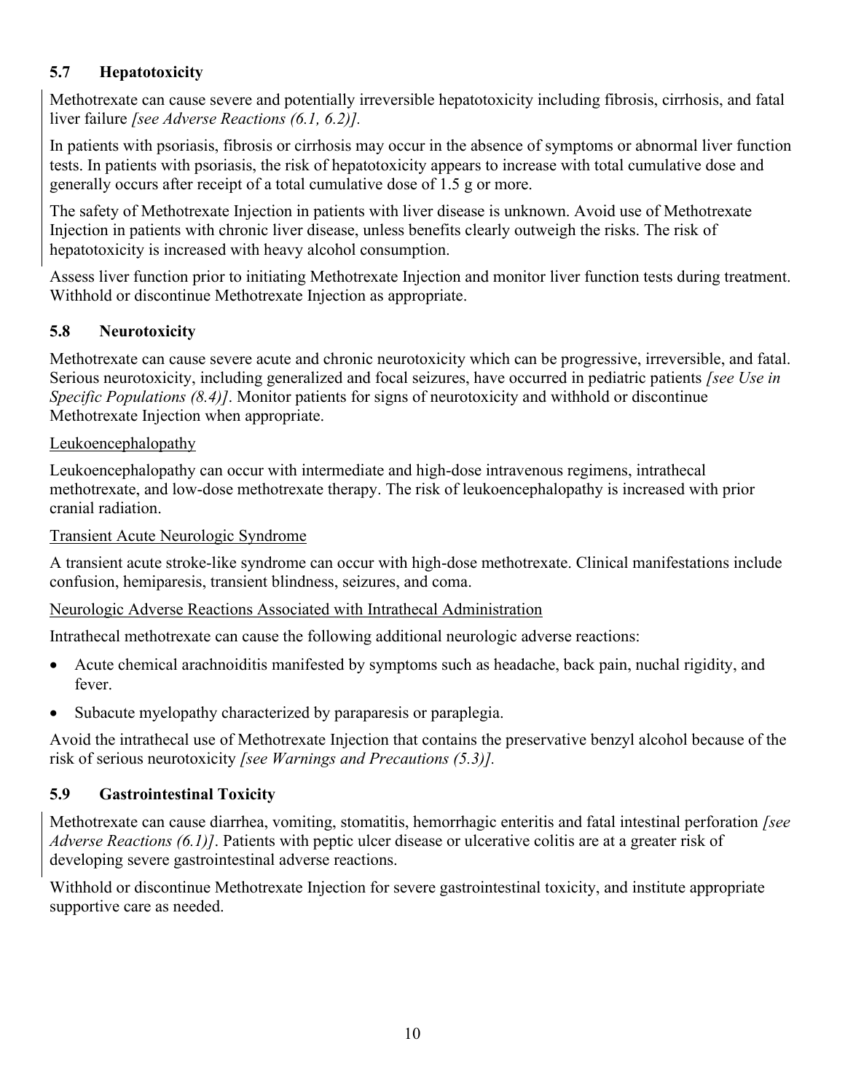# **5.7 Hepatotoxicity**

Methotrexate can cause severe and potentially irreversible hepatotoxicity including fibrosis, cirrhosis, and fatal liver failure *[see Adverse Reactions (6.1, 6.2)].*

In patients with psoriasis, fibrosis or cirrhosis may occur in the absence of symptoms or abnormal liver function tests. In patients with psoriasis, the risk of hepatotoxicity appears to increase with total cumulative dose and generally occurs after receipt of a total cumulative dose of 1.5 g or more.

The safety of Methotrexate Injection in patients with liver disease is unknown. Avoid use of Methotrexate Injection in patients with chronic liver disease, unless benefits clearly outweigh the risks. The risk of hepatotoxicity is increased with heavy alcohol consumption.

Assess liver function prior to initiating Methotrexate Injection and monitor liver function tests during treatment. Withhold or discontinue Methotrexate Injection as appropriate.

# **5.8 Neurotoxicity**

Methotrexate can cause severe acute and chronic neurotoxicity which can be progressive, irreversible, and fatal. Serious neurotoxicity, including generalized and focal seizures, have occurred in pediatric patients *[see Use in Specific Populations (8.4)]*. Monitor patients for signs of neurotoxicity and withhold or discontinue Methotrexate Injection when appropriate.

#### Leukoencephalopathy

Leukoencephalopathy can occur with intermediate and high-dose intravenous regimens, intrathecal methotrexate, and low-dose methotrexate therapy. The risk of leukoencephalopathy is increased with prior cranial radiation.

#### Transient Acute Neurologic Syndrome

A transient acute stroke-like syndrome can occur with high-dose methotrexate. Clinical manifestations include confusion, hemiparesis, transient blindness, seizures, and coma.

#### Neurologic Adverse Reactions Associated with Intrathecal Administration

Intrathecal methotrexate can cause the following additional neurologic adverse reactions:

- Acute chemical arachnoiditis manifested by symptoms such as headache, back pain, nuchal rigidity, and fever.
- Subacute myelopathy characterized by paraparesis or paraplegia.

Avoid the intrathecal use of Methotrexate Injection that contains the preservative benzyl alcohol because of the risk of serious neurotoxicity *[see Warnings and Precautions (5.3)].*

## **5.9 Gastrointestinal Toxicity**

Methotrexate can cause diarrhea, vomiting, stomatitis, hemorrhagic enteritis and fatal intestinal perforation *[see Adverse Reactions (6.1)]*. Patients with peptic ulcer disease or ulcerative colitis are at a greater risk of developing severe gastrointestinal adverse reactions.

Withhold or discontinue Methotrexate Injection for severe gastrointestinal toxicity, and institute appropriate supportive care as needed.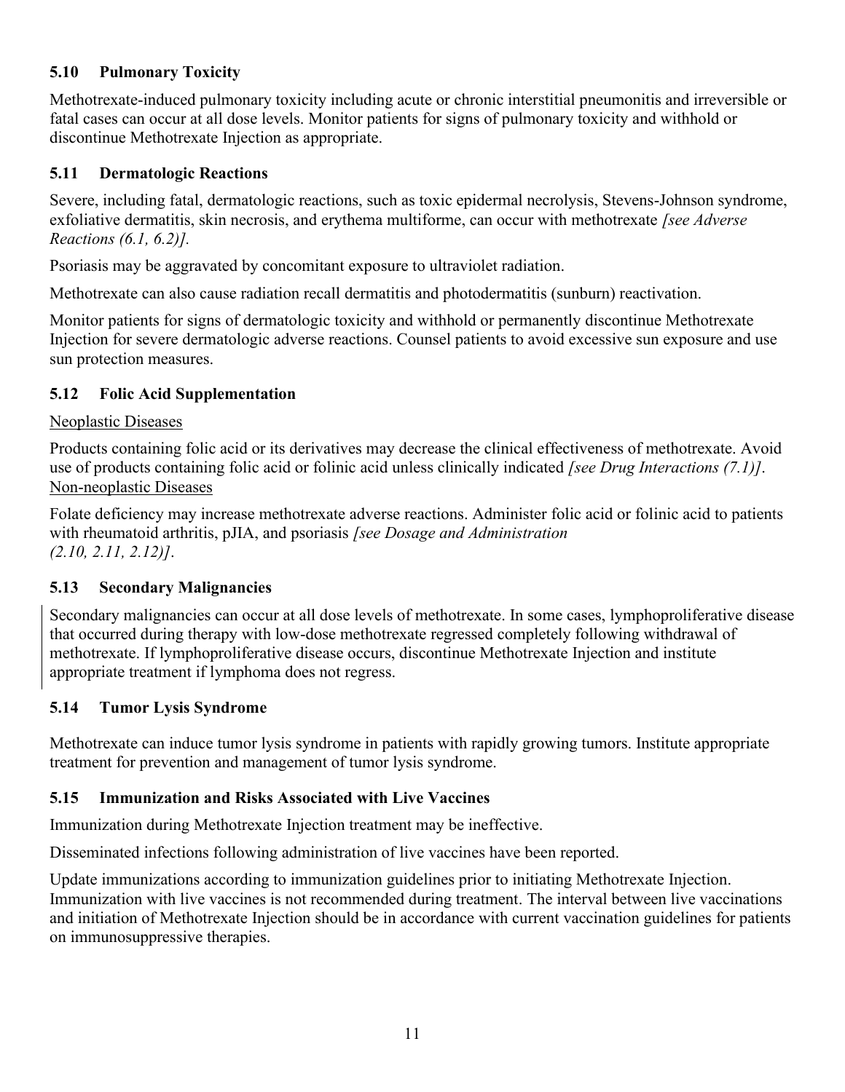# **5.10 Pulmonary Toxicity**

Methotrexate-induced pulmonary toxicity including acute or chronic interstitial pneumonitis and irreversible or fatal cases can occur at all dose levels. Monitor patients for signs of pulmonary toxicity and withhold or discontinue Methotrexate Injection as appropriate.

## **5.11 Dermatologic Reactions**

Severe, including fatal, dermatologic reactions, such as toxic epidermal necrolysis, Stevens-Johnson syndrome, exfoliative dermatitis, skin necrosis, and erythema multiforme, can occur with methotrexate *[see Adverse Reactions (6.1, 6.2)].*

Psoriasis may be aggravated by concomitant exposure to ultraviolet radiation.

Methotrexate can also cause radiation recall dermatitis and photodermatitis (sunburn) reactivation.

Monitor patients for signs of dermatologic toxicity and withhold or permanently discontinue Methotrexate Injection for severe dermatologic adverse reactions. Counsel patients to avoid excessive sun exposure and use sun protection measures.

## **5.12 Folic Acid Supplementation**

#### Neoplastic Diseases

Products containing folic acid or its derivatives may decrease the clinical effectiveness of methotrexate. Avoid use of products containing folic acid or folinic acid unless clinically indicated *[see Drug Interactions (7.1)]*. Non-neoplastic Diseases

Folate deficiency may increase methotrexate adverse reactions. Administer folic acid or folinic acid to patients with rheumatoid arthritis, pJIA, and psoriasis *[see Dosage and Administration (2.10, 2.11, 2.12)]*.

## **5.13 Secondary Malignancies**

Secondary malignancies can occur at all dose levels of methotrexate. In some cases, lymphoproliferative disease that occurred during therapy with low-dose methotrexate regressed completely following withdrawal of methotrexate. If lymphoproliferative disease occurs, discontinue Methotrexate Injection and institute appropriate treatment if lymphoma does not regress.

#### **5.14 Tumor Lysis Syndrome**

Methotrexate can induce tumor lysis syndrome in patients with rapidly growing tumors. Institute appropriate treatment for prevention and management of tumor lysis syndrome.

## **5.15 Immunization and Risks Associated with Live Vaccines**

Immunization during Methotrexate Injection treatment may be ineffective.

Disseminated infections following administration of live vaccines have been reported.

Update immunizations according to immunization guidelines prior to initiating Methotrexate Injection. Immunization with live vaccines is not recommended during treatment. The interval between live vaccinations and initiation of Methotrexate Injection should be in accordance with current vaccination guidelines for patients on immunosuppressive therapies.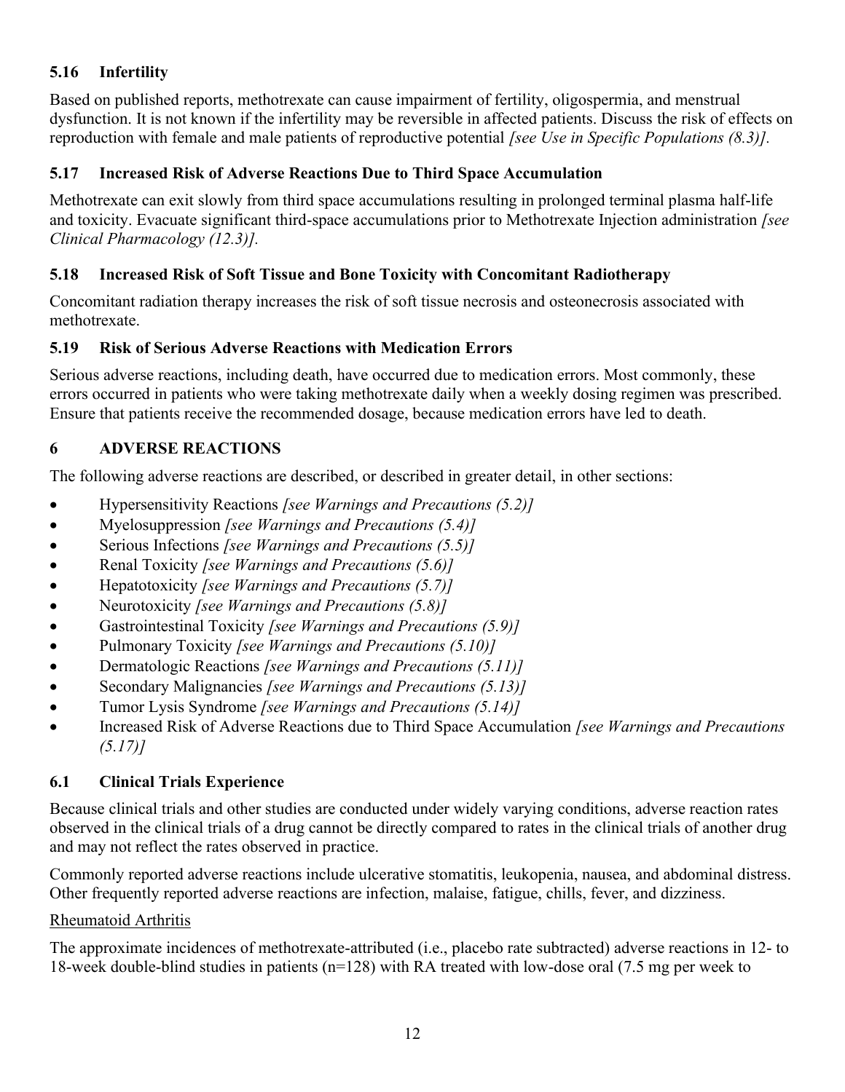# **5.16 Infertility**

Based on published reports, methotrexate can cause impairment of fertility, oligospermia, and menstrual dysfunction. It is not known if the infertility may be reversible in affected patients. Discuss the risk of effects on reproduction with female and male patients of reproductive potential *[see Use in Specific Populations (8.3)].*

## **5.17 Increased Risk of Adverse Reactions Due to Third Space Accumulation**

Methotrexate can exit slowly from third space accumulations resulting in prolonged terminal plasma half-life and toxicity. Evacuate significant third-space accumulations prior to Methotrexate Injection administration *[see Clinical Pharmacology (12.3)].*

## **5.18 Increased Risk of Soft Tissue and Bone Toxicity with Concomitant Radiotherapy**

Concomitant radiation therapy increases the risk of soft tissue necrosis and osteonecrosis associated with methotrexate.

## **5.19 Risk of Serious Adverse Reactions with Medication Errors**

Serious adverse reactions, including death, have occurred due to medication errors. Most commonly, these errors occurred in patients who were taking methotrexate daily when a weekly dosing regimen was prescribed. Ensure that patients receive the recommended dosage, because medication errors have led to death.

# **6 ADVERSE REACTIONS**

The following adverse reactions are described, or described in greater detail, in other sections:

- Hypersensitivity Reactions *[see Warnings and Precautions (5.2)]*
- Myelosuppression *[see Warnings and Precautions (5.4)]*
- Serious Infections *[see Warnings and Precautions (5.5)]*
- Renal Toxicity *[see Warnings and Precautions (5.6)]*
- Hepatotoxicity *[see Warnings and Precautions (5.7)]*
- Neurotoxicity *[see Warnings and Precautions (5.8)]*
- Gastrointestinal Toxicity *[see Warnings and Precautions (5.9)]*
- Pulmonary Toxicity *[see Warnings and Precautions (5.10)]*
- Dermatologic Reactions *[see Warnings and Precautions (5.11)]*
- Secondary Malignancies *[see Warnings and Precautions (5.13)]*
- Tumor Lysis Syndrome *[see Warnings and Precautions (5.14)]*
- Increased Risk of Adverse Reactions due to Third Space Accumulation *[see Warnings and Precautions (5.17)]*

## **6.1 Clinical Trials Experience**

Because clinical trials and other studies are conducted under widely varying conditions, adverse reaction rates observed in the clinical trials of a drug cannot be directly compared to rates in the clinical trials of another drug and may not reflect the rates observed in practice.

Commonly reported adverse reactions include ulcerative stomatitis, leukopenia, nausea, and abdominal distress. Other frequently reported adverse reactions are infection, malaise, fatigue, chills, fever, and dizziness.

#### Rheumatoid Arthritis

The approximate incidences of methotrexate-attributed (i.e., placebo rate subtracted) adverse reactions in 12- to 18-week double-blind studies in patients (n=128) with RA treated with low-dose oral (7.5 mg per week to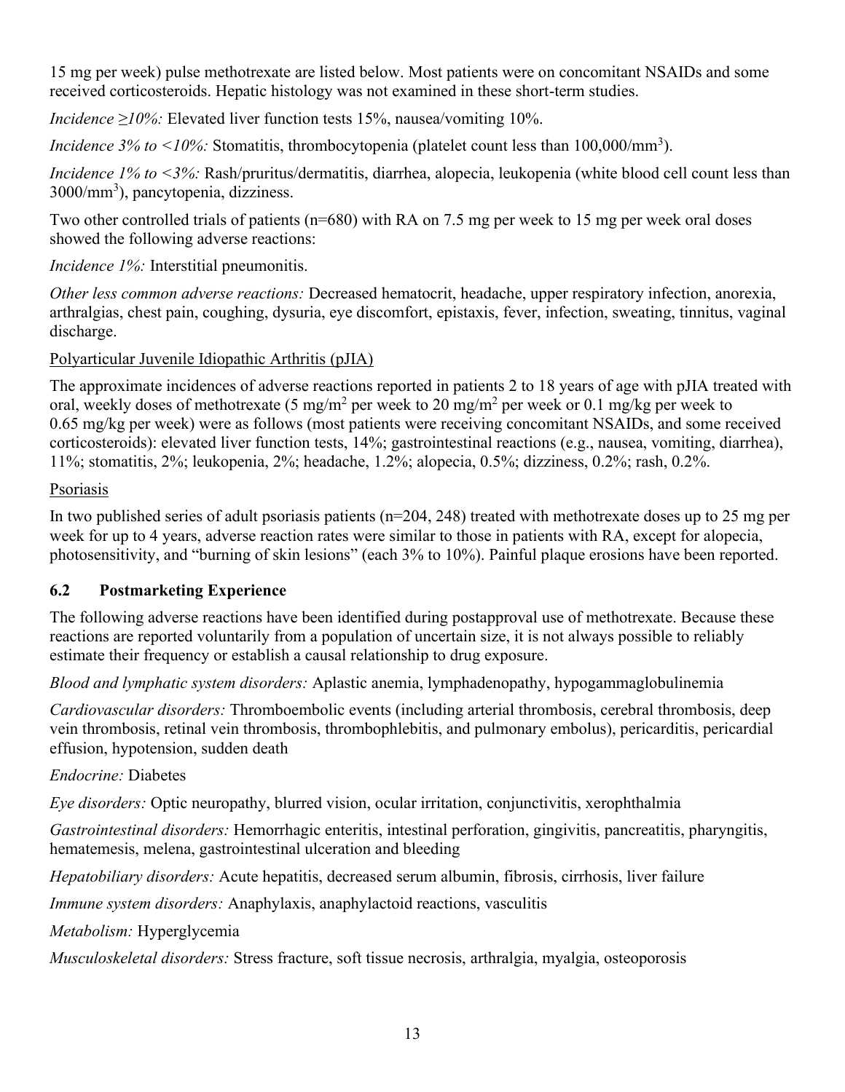15 mg per week) pulse methotrexate are listed below. Most patients were on concomitant NSAIDs and some received corticosteroids. Hepatic histology was not examined in these short-term studies.

*Incidence ≥10%:* Elevated liver function tests 15%, nausea/vomiting 10%.

*Incidence 3% to <10%*: Stomatitis, thrombocytopenia (platelet count less than 100,000/mm<sup>3</sup>).

*Incidence 1% to <3%:* Rash/pruritus/dermatitis, diarrhea, alopecia, leukopenia (white blood cell count less than 3000/mm<sup>3</sup>), pancytopenia, dizziness.

Two other controlled trials of patients (n=680) with RA on 7.5 mg per week to 15 mg per week oral doses showed the following adverse reactions:

*Incidence 1%:* Interstitial pneumonitis.

*Other less common adverse reactions:* Decreased hematocrit, headache, upper respiratory infection, anorexia, arthralgias, chest pain, coughing, dysuria, eye discomfort, epistaxis, fever, infection, sweating, tinnitus, vaginal discharge.

Polyarticular Juvenile Idiopathic Arthritis (pJIA)

The approximate incidences of adverse reactions reported in patients 2 to 18 years of age with pJIA treated with oral, weekly doses of methotrexate (5 mg/m<sup>2</sup> per week to 20 mg/m<sup>2</sup> per week or 0.1 mg/kg per week to 0.65 mg/kg per week) were as follows (most patients were receiving concomitant NSAIDs, and some received corticosteroids): elevated liver function tests, 14%; gastrointestinal reactions (e.g., nausea, vomiting, diarrhea), 11%; stomatitis, 2%; leukopenia, 2%; headache, 1.2%; alopecia, 0.5%; dizziness, 0.2%; rash, 0.2%.

# Psoriasis

In two published series of adult psoriasis patients ( $n=204$ , 248) treated with methotrexate doses up to 25 mg per week for up to 4 years, adverse reaction rates were similar to those in patients with RA, except for alopecia, photosensitivity, and "burning of skin lesions" (each 3% to 10%). Painful plaque erosions have been reported.

# **6.2 Postmarketing Experience**

The following adverse reactions have been identified during postapproval use of methotrexate. Because these reactions are reported voluntarily from a population of uncertain size, it is not always possible to reliably estimate their frequency or establish a causal relationship to drug exposure.

*Blood and lymphatic system disorders:* Aplastic anemia, lymphadenopathy, hypogammaglobulinemia

*Cardiovascular disorders:* Thromboembolic events (including arterial thrombosis, cerebral thrombosis, deep vein thrombosis, retinal vein thrombosis, thrombophlebitis, and pulmonary embolus), pericarditis, pericardial effusion, hypotension, sudden death

# *Endocrine:* Diabetes

*Eye disorders:* Optic neuropathy, blurred vision, ocular irritation, conjunctivitis, xerophthalmia

*Gastrointestinal disorders:* Hemorrhagic enteritis, intestinal perforation, gingivitis, pancreatitis, pharyngitis, hematemesis, melena, gastrointestinal ulceration and bleeding

*Hepatobiliary disorders:* Acute hepatitis, decreased serum albumin, fibrosis, cirrhosis, liver failure

*Immune system disorders:* Anaphylaxis, anaphylactoid reactions, vasculitis

*Metabolism:* Hyperglycemia

*Musculoskeletal disorders:* Stress fracture, soft tissue necrosis, arthralgia, myalgia, osteoporosis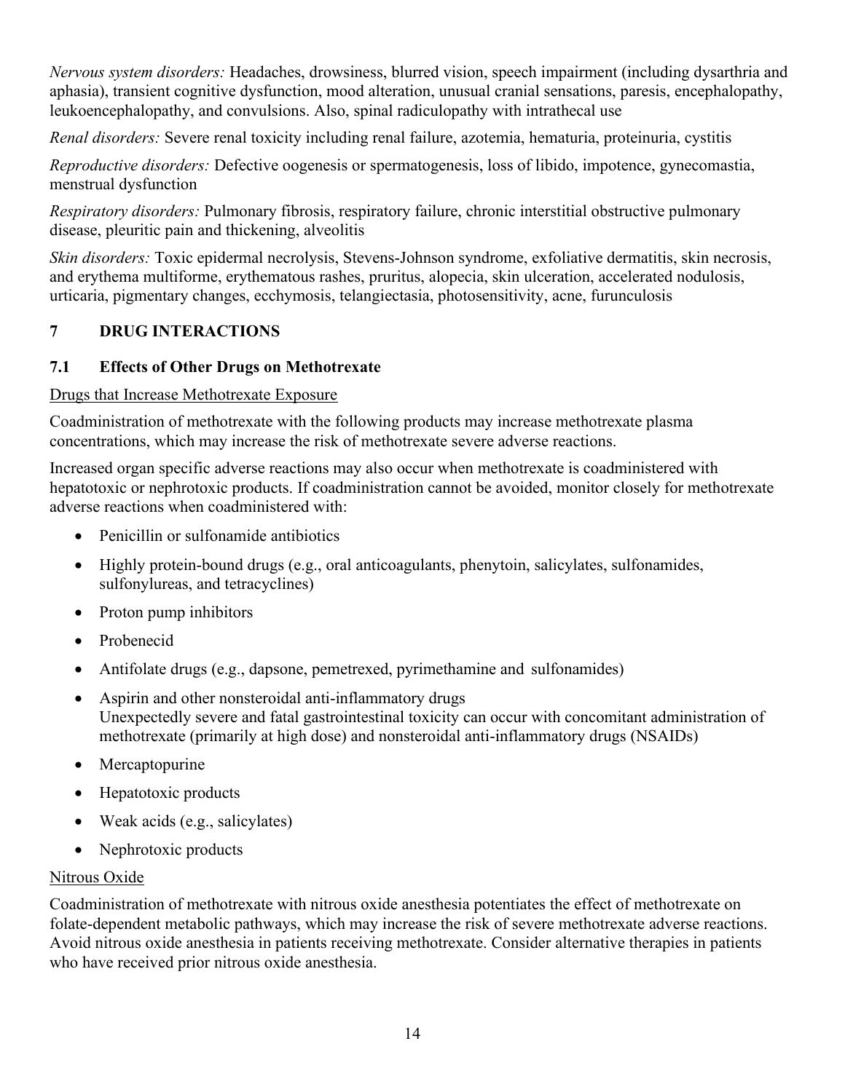*Nervous system disorders:* Headaches, drowsiness, blurred vision, speech impairment (including dysarthria and aphasia), transient cognitive dysfunction, mood alteration, unusual cranial sensations, paresis, encephalopathy, leukoencephalopathy, and convulsions. Also, spinal radiculopathy with intrathecal use

*Renal disorders:* Severe renal toxicity including renal failure, azotemia, hematuria, proteinuria, cystitis

*Reproductive disorders:* Defective oogenesis or spermatogenesis, loss of libido, impotence, gynecomastia, menstrual dysfunction

*Respiratory disorders:* Pulmonary fibrosis, respiratory failure, chronic interstitial obstructive pulmonary disease, pleuritic pain and thickening, alveolitis

*Skin disorders:* Toxic epidermal necrolysis, Stevens-Johnson syndrome, exfoliative dermatitis, skin necrosis, and erythema multiforme, erythematous rashes, pruritus, alopecia, skin ulceration, accelerated nodulosis, urticaria, pigmentary changes, ecchymosis, telangiectasia, photosensitivity, acne, furunculosis

# **7 DRUG INTERACTIONS**

## **7.1 Effects of Other Drugs on Methotrexate**

#### Drugs that Increase Methotrexate Exposure

Coadministration of methotrexate with the following products may increase methotrexate plasma concentrations, which may increase the risk of methotrexate severe adverse reactions.

Increased organ specific adverse reactions may also occur when methotrexate is coadministered with hepatotoxic or nephrotoxic products. If coadministration cannot be avoided, monitor closely for methotrexate adverse reactions when coadministered with:

- Penicillin or sulfonamide antibiotics
- Highly protein-bound drugs (e.g., oral anticoagulants, phenytoin, salicylates, sulfonamides, sulfonylureas, and tetracyclines)
- Proton pump inhibitors
- Probenecid
- Antifolate drugs (e.g., dapsone, pemetrexed, pyrimethamine and sulfonamides)
- Aspirin and other nonsteroidal anti-inflammatory drugs Unexpectedly severe and fatal gastrointestinal toxicity can occur with concomitant administration of methotrexate (primarily at high dose) and nonsteroidal anti-inflammatory drugs (NSAIDs)
- Mercaptopurine
- Hepatotoxic products
- Weak acids (e.g., salicylates)
- Nephrotoxic products

## Nitrous Oxide

Coadministration of methotrexate with nitrous oxide anesthesia potentiates the effect of methotrexate on folate-dependent metabolic pathways, which may increase the risk of severe methotrexate adverse reactions. Avoid nitrous oxide anesthesia in patients receiving methotrexate. Consider alternative therapies in patients who have received prior nitrous oxide anesthesia.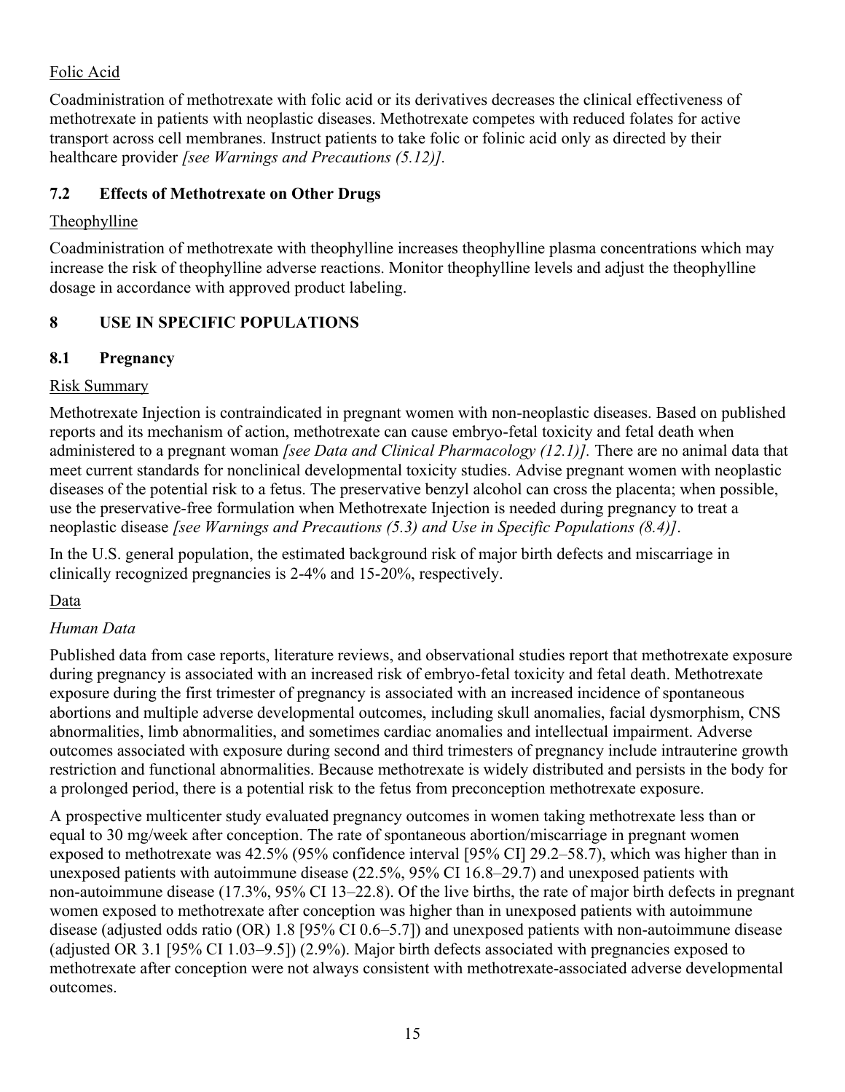## Folic Acid

Coadministration of methotrexate with folic acid or its derivatives decreases the clinical effectiveness of methotrexate in patients with neoplastic diseases. Methotrexate competes with reduced folates for active transport across cell membranes. Instruct patients to take folic or folinic acid only as directed by their healthcare provider *[see Warnings and Precautions (5.12)].*

# **7.2 Effects of Methotrexate on Other Drugs**

## Theophylline

Coadministration of methotrexate with theophylline increases theophylline plasma concentrations which may increase the risk of theophylline adverse reactions. Monitor theophylline levels and adjust the theophylline dosage in accordance with approved product labeling.

# **8 USE IN SPECIFIC POPULATIONS**

## **8.1 Pregnancy**

## Risk Summary

Methotrexate Injection is contraindicated in pregnant women with non-neoplastic diseases. Based on published reports and its mechanism of action, methotrexate can cause embryo-fetal toxicity and fetal death when administered to a pregnant woman *[see Data and Clinical Pharmacology (12.1)].* There are no animal data that meet current standards for nonclinical developmental toxicity studies. Advise pregnant women with neoplastic diseases of the potential risk to a fetus. The preservative benzyl alcohol can cross the placenta; when possible, use the preservative-free formulation when Methotrexate Injection is needed during pregnancy to treat a neoplastic disease *[see Warnings and Precautions (5.3) and Use in Specific Populations (8.4)]*.

In the U.S. general population, the estimated background risk of major birth defects and miscarriage in clinically recognized pregnancies is 2-4% and 15-20%, respectively.

## Data

## *Human Data*

Published data from case reports, literature reviews, and observational studies report that methotrexate exposure during pregnancy is associated with an increased risk of embryo-fetal toxicity and fetal death. Methotrexate exposure during the first trimester of pregnancy is associated with an increased incidence of spontaneous abortions and multiple adverse developmental outcomes, including skull anomalies, facial dysmorphism, CNS abnormalities, limb abnormalities, and sometimes cardiac anomalies and intellectual impairment. Adverse outcomes associated with exposure during second and third trimesters of pregnancy include intrauterine growth restriction and functional abnormalities. Because methotrexate is widely distributed and persists in the body for a prolonged period, there is a potential risk to the fetus from preconception methotrexate exposure.

A prospective multicenter study evaluated pregnancy outcomes in women taking methotrexate less than or equal to 30 mg/week after conception. The rate of spontaneous abortion/miscarriage in pregnant women exposed to methotrexate was 42.5% (95% confidence interval [95% CI] 29.2–58.7), which was higher than in unexposed patients with autoimmune disease (22.5%, 95% CI 16.8–29.7) and unexposed patients with non-autoimmune disease (17.3%, 95% CI 13–22.8). Of the live births, the rate of major birth defects in pregnant women exposed to methotrexate after conception was higher than in unexposed patients with autoimmune disease (adjusted odds ratio (OR) 1.8 [95% CI 0.6–5.7]) and unexposed patients with non-autoimmune disease (adjusted OR 3.1 [95% CI 1.03–9.5]) (2.9%). Major birth defects associated with pregnancies exposed to methotrexate after conception were not always consistent with methotrexate-associated adverse developmental outcomes.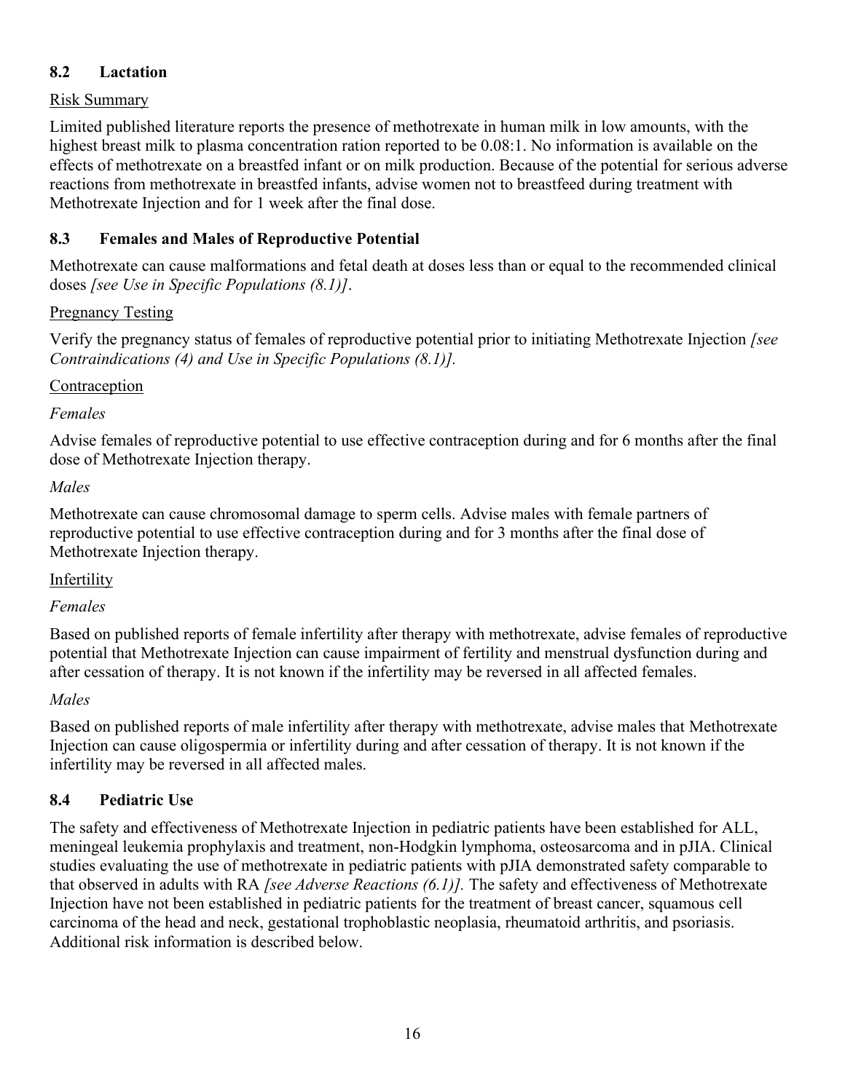## **8.2 Lactation**

#### Risk Summary

Limited published literature reports the presence of methotrexate in human milk in low amounts, with the highest breast milk to plasma concentration ration reported to be 0.08:1. No information is available on the effects of methotrexate on a breastfed infant or on milk production. Because of the potential for serious adverse reactions from methotrexate in breastfed infants, advise women not to breastfeed during treatment with Methotrexate Injection and for 1 week after the final dose.

## **8.3 Females and Males of Reproductive Potential**

Methotrexate can cause malformations and fetal death at doses less than or equal to the recommended clinical doses *[see Use in Specific Populations (8.1)]*.

#### Pregnancy Testing

Verify the pregnancy status of females of reproductive potential prior to initiating Methotrexate Injection *[see Contraindications (4) and Use in Specific Populations (8.1)].*

#### Contraception

#### *Females*

Advise females of reproductive potential to use effective contraception during and for 6 months after the final dose of Methotrexate Injection therapy.

#### *Males*

Methotrexate can cause chromosomal damage to sperm cells. Advise males with female partners of reproductive potential to use effective contraception during and for 3 months after the final dose of Methotrexate Injection therapy.

## **Infertility**

## *Females*

Based on published reports of female infertility after therapy with methotrexate, advise females of reproductive potential that Methotrexate Injection can cause impairment of fertility and menstrual dysfunction during and after cessation of therapy. It is not known if the infertility may be reversed in all affected females.

## *Males*

Based on published reports of male infertility after therapy with methotrexate, advise males that Methotrexate Injection can cause oligospermia or infertility during and after cessation of therapy. It is not known if the infertility may be reversed in all affected males.

## **8.4 Pediatric Use**

The safety and effectiveness of Methotrexate Injection in pediatric patients have been established for ALL, meningeal leukemia prophylaxis and treatment, non-Hodgkin lymphoma, osteosarcoma and in pJIA. Clinical studies evaluating the use of methotrexate in pediatric patients with pJIA demonstrated safety comparable to that observed in adults with RA *[see Adverse Reactions (6.1)].* The safety and effectiveness of Methotrexate Injection have not been established in pediatric patients for the treatment of breast cancer, squamous cell carcinoma of the head and neck, gestational trophoblastic neoplasia, rheumatoid arthritis, and psoriasis. Additional risk information is described below.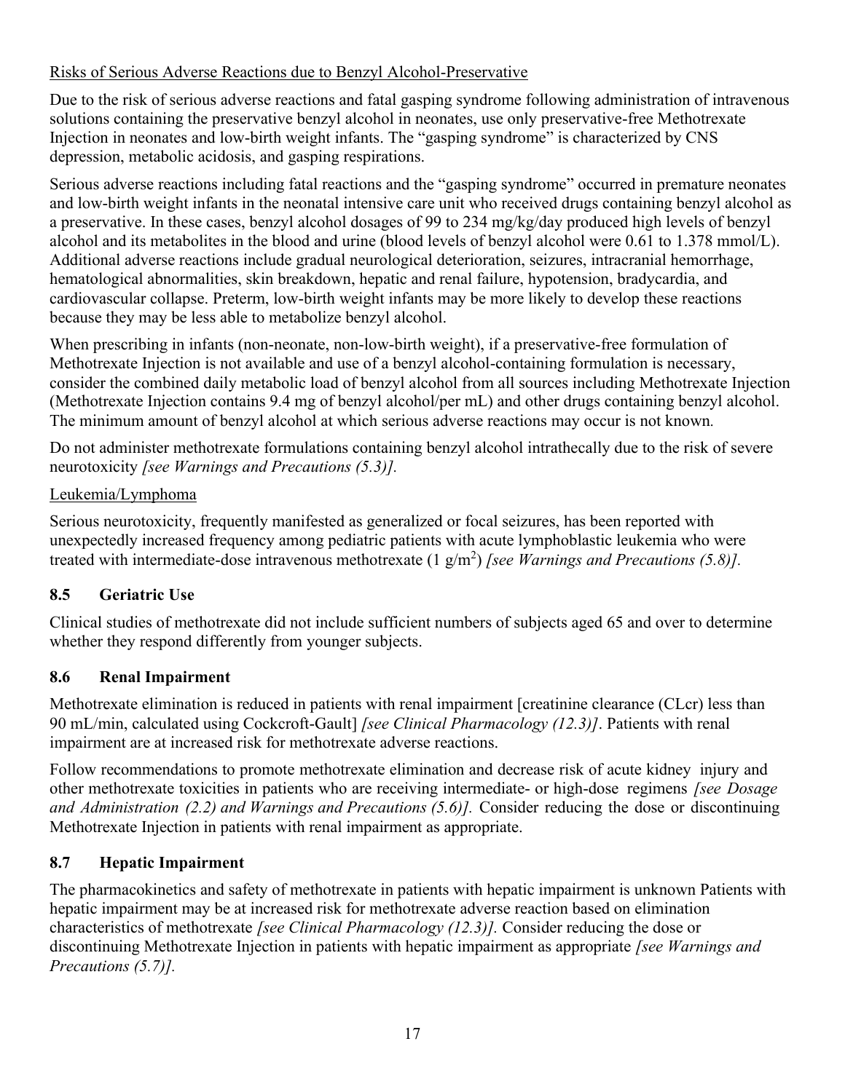# Risks of Serious Adverse Reactions due to Benzyl Alcohol-Preservative

Due to the risk of serious adverse reactions and fatal gasping syndrome following administration of intravenous solutions containing the preservative benzyl alcohol in neonates, use only preservative-free Methotrexate Injection in neonates and low-birth weight infants. The "gasping syndrome" is characterized by CNS depression, metabolic acidosis, and gasping respirations.

Serious adverse reactions including fatal reactions and the "gasping syndrome" occurred in premature neonates and low-birth weight infants in the neonatal intensive care unit who received drugs containing benzyl alcohol as a preservative. In these cases, benzyl alcohol dosages of 99 to 234 mg/kg/day produced high levels of benzyl alcohol and its metabolites in the blood and urine (blood levels of benzyl alcohol were 0.61 to 1.378 mmol/L). Additional adverse reactions include gradual neurological deterioration, seizures, intracranial hemorrhage, hematological abnormalities, skin breakdown, hepatic and renal failure, hypotension, bradycardia, and cardiovascular collapse. Preterm, low-birth weight infants may be more likely to develop these reactions because they may be less able to metabolize benzyl alcohol.

When prescribing in infants (non-neonate, non-low-birth weight), if a preservative-free formulation of Methotrexate Injection is not available and use of a benzyl alcohol-containing formulation is necessary, consider the combined daily metabolic load of benzyl alcohol from all sources including Methotrexate Injection (Methotrexate Injection contains 9.4 mg of benzyl alcohol/per mL) and other drugs containing benzyl alcohol. The minimum amount of benzyl alcohol at which serious adverse reactions may occur is not known*.*

Do not administer methotrexate formulations containing benzyl alcohol intrathecally due to the risk of severe neurotoxicity *[see Warnings and Precautions (5.3)].*

# Leukemia/Lymphoma

Serious neurotoxicity, frequently manifested as generalized or focal seizures, has been reported with unexpectedly increased frequency among pediatric patients with acute lymphoblastic leukemia who were treated with intermediate-dose intravenous methotrexate  $(1 \text{ g/m}^2)$  *[see Warnings and Precautions (5.8)]*.

# **8.5 Geriatric Use**

Clinical studies of methotrexate did not include sufficient numbers of subjects aged 65 and over to determine whether they respond differently from younger subjects.

# **8.6 Renal Impairment**

Methotrexate elimination is reduced in patients with renal impairment [creatinine clearance (CLcr) less than 90 mL/min, calculated using Cockcroft-Gault] *[see Clinical Pharmacology (12.3)]*. Patients with renal impairment are at increased risk for methotrexate adverse reactions.

Follow recommendations to promote methotrexate elimination and decrease risk of acute kidney injury and other methotrexate toxicities in patients who are receiving intermediate- or high-dose regimens *[see Dosage and Administration (2.2) and Warnings and Precautions (5.6)].* Consider reducing the dose or discontinuing Methotrexate Injection in patients with renal impairment as appropriate.

# **8.7 Hepatic Impairment**

The pharmacokinetics and safety of methotrexate in patients with hepatic impairment is unknown Patients with hepatic impairment may be at increased risk for methotrexate adverse reaction based on elimination characteristics of methotrexate *[see Clinical Pharmacology (12.3)].* Consider reducing the dose or discontinuing Methotrexate Injection in patients with hepatic impairment as appropriate *[see Warnings and Precautions (5.7)].*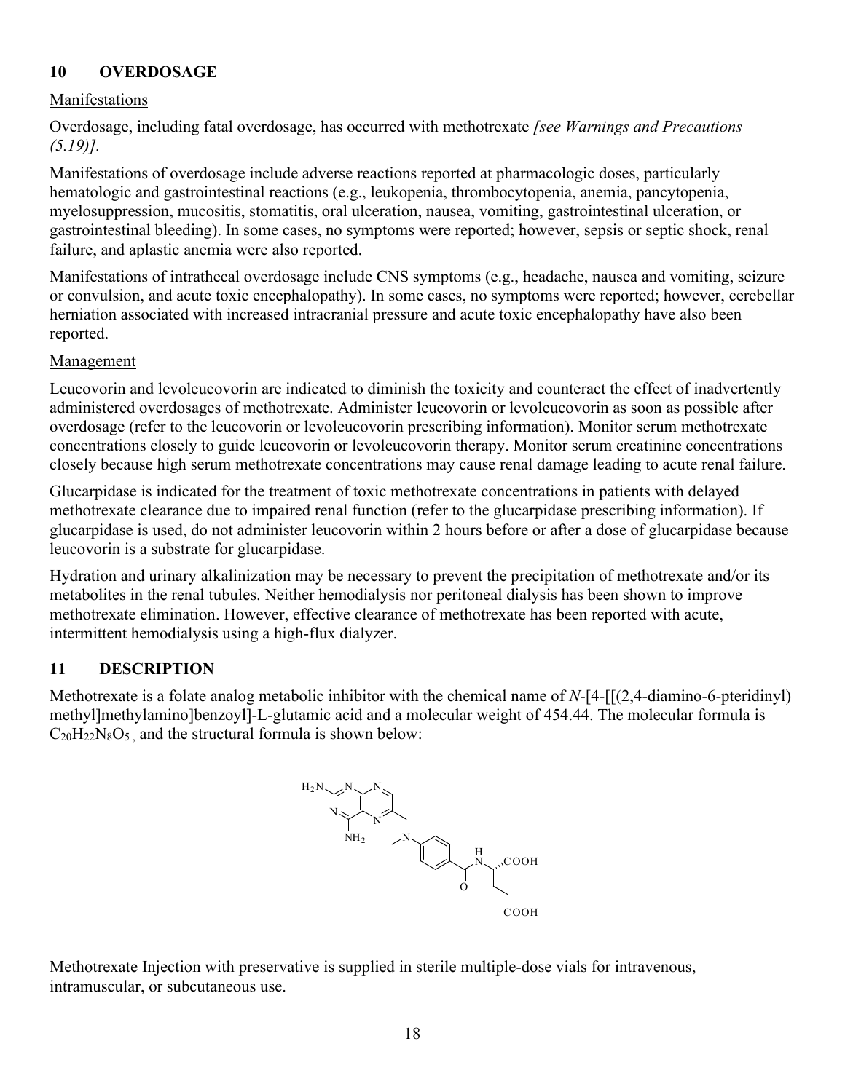# **10 OVERDOSAGE**

#### Manifestations

Overdosage, including fatal overdosage, has occurred with methotrexate *[see Warnings and Precautions (5.19)].*

Manifestations of overdosage include adverse reactions reported at pharmacologic doses, particularly hematologic and gastrointestinal reactions (e.g., leukopenia, thrombocytopenia, anemia, pancytopenia, myelosuppression, mucositis, stomatitis, oral ulceration, nausea, vomiting, gastrointestinal ulceration, or gastrointestinal bleeding). In some cases, no symptoms were reported; however, sepsis or septic shock, renal failure, and aplastic anemia were also reported.

Manifestations of intrathecal overdosage include CNS symptoms (e.g., headache, nausea and vomiting, seizure or convulsion, and acute toxic encephalopathy). In some cases, no symptoms were reported; however, cerebellar herniation associated with increased intracranial pressure and acute toxic encephalopathy have also been reported.

#### Management

Leucovorin and levoleucovorin are indicated to diminish the toxicity and counteract the effect of inadvertently administered overdosages of methotrexate. Administer leucovorin or levoleucovorin as soon as possible after overdosage (refer to the leucovorin or levoleucovorin prescribing information). Monitor serum methotrexate concentrations closely to guide leucovorin or levoleucovorin therapy. Monitor serum creatinine concentrations closely because high serum methotrexate concentrations may cause renal damage leading to acute renal failure.

Glucarpidase is indicated for the treatment of toxic methotrexate concentrations in patients with delayed methotrexate clearance due to impaired renal function (refer to the glucarpidase prescribing information). If glucarpidase is used, do not administer leucovorin within 2 hours before or after a dose of glucarpidase because leucovorin is a substrate for glucarpidase.

Hydration and urinary alkalinization may be necessary to prevent the precipitation of methotrexate and/or its metabolites in the renal tubules. Neither hemodialysis nor peritoneal dialysis has been shown to improve methotrexate elimination. However, effective clearance of methotrexate has been reported with acute, intermittent hemodialysis using a high-flux dialyzer.

## **11 DESCRIPTION**

Methotrexate is a folate analog metabolic inhibitor with the chemical name of *N*-[4-[[(2,4-diamino-6-pteridinyl) methyl]methylamino]benzoyl]-L-glutamic acid and a molecular weight of 454.44. The molecular formula is  $C_{20}H_{22}N_8O_5$ , and the structural formula is shown below:



Methotrexate Injection with preservative is supplied in sterile multiple-dose vials for intravenous, intramuscular, or subcutaneous use.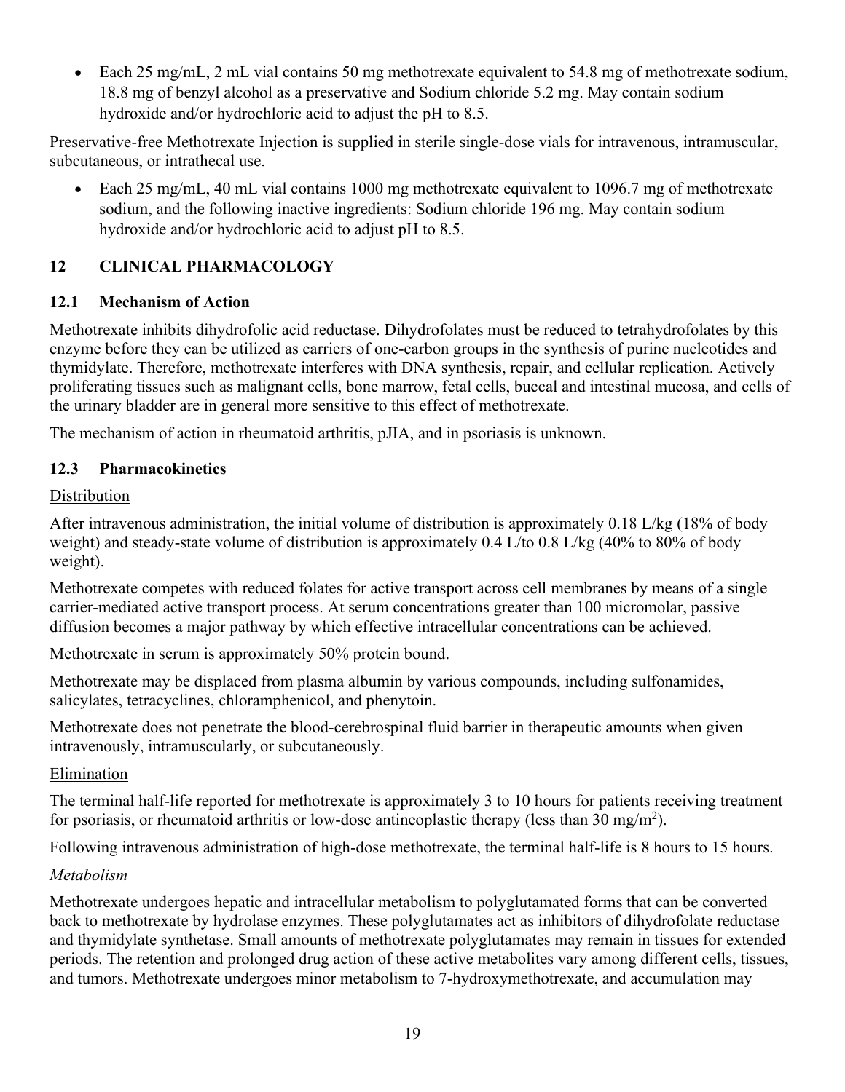• Each 25 mg/mL, 2 mL vial contains 50 mg methotrexate equivalent to 54.8 mg of methotrexate sodium, 18.8 mg of benzyl alcohol as a preservative and Sodium chloride 5.2 mg. May contain sodium hydroxide and/or hydrochloric acid to adjust the pH to 8.5.

Preservative-free Methotrexate Injection is supplied in sterile single-dose vials for intravenous, intramuscular, subcutaneous, or intrathecal use.

• Each 25 mg/mL, 40 mL vial contains 1000 mg methotrexate equivalent to 1096.7 mg of methotrexate sodium, and the following inactive ingredients: Sodium chloride 196 mg. May contain sodium hydroxide and/or hydrochloric acid to adjust pH to 8.5.

# **12 CLINICAL PHARMACOLOGY**

# **12.1 Mechanism of Action**

Methotrexate inhibits dihydrofolic acid reductase. Dihydrofolates must be reduced to tetrahydrofolates by this enzyme before they can be utilized as carriers of one-carbon groups in the synthesis of purine nucleotides and thymidylate. Therefore, methotrexate interferes with DNA synthesis, repair, and cellular replication. Actively proliferating tissues such as malignant cells, bone marrow, fetal cells, buccal and intestinal mucosa, and cells of the urinary bladder are in general more sensitive to this effect of methotrexate.

The mechanism of action in rheumatoid arthritis, pJIA, and in psoriasis is unknown.

# **12.3 Pharmacokinetics**

# Distribution

After intravenous administration, the initial volume of distribution is approximately 0.18 L/kg (18% of body weight) and steady-state volume of distribution is approximately 0.4 L/to 0.8 L/kg (40% to 80% of body weight).

Methotrexate competes with reduced folates for active transport across cell membranes by means of a single carrier-mediated active transport process. At serum concentrations greater than 100 micromolar, passive diffusion becomes a major pathway by which effective intracellular concentrations can be achieved.

Methotrexate in serum is approximately 50% protein bound.

Methotrexate may be displaced from plasma albumin by various compounds, including sulfonamides, salicylates, tetracyclines, chloramphenicol, and phenytoin.

Methotrexate does not penetrate the blood-cerebrospinal fluid barrier in therapeutic amounts when given intravenously, intramuscularly, or subcutaneously.

## **Elimination**

The terminal half-life reported for methotrexate is approximately 3 to 10 hours for patients receiving treatment for psoriasis, or rheumatoid arthritis or low-dose antineoplastic therapy (less than 30 mg/m<sup>2</sup>).

Following intravenous administration of high-dose methotrexate, the terminal half-life is 8 hours to 15 hours.

## *Metabolism*

Methotrexate undergoes hepatic and intracellular metabolism to polyglutamated forms that can be converted back to methotrexate by hydrolase enzymes. These polyglutamates act as inhibitors of dihydrofolate reductase and thymidylate synthetase. Small amounts of methotrexate polyglutamates may remain in tissues for extended periods. The retention and prolonged drug action of these active metabolites vary among different cells, tissues, and tumors. Methotrexate undergoes minor metabolism to 7-hydroxymethotrexate, and accumulation may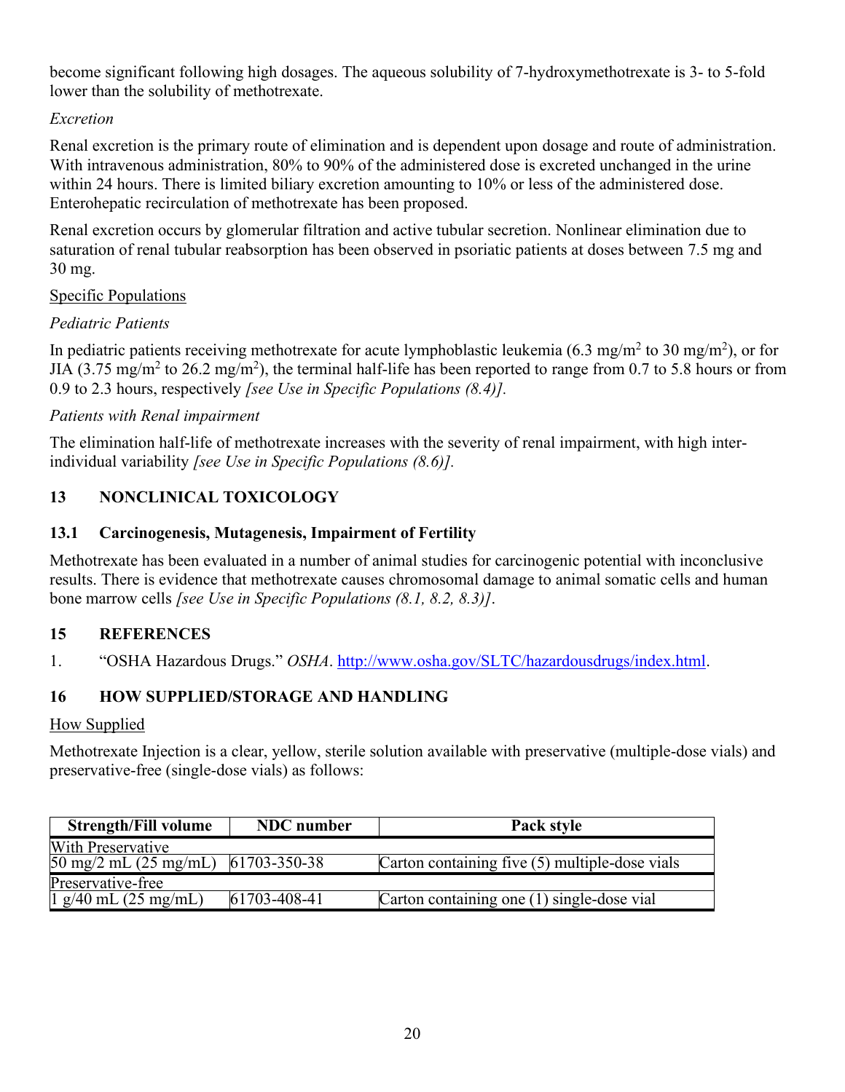become significant following high dosages. The aqueous solubility of 7-hydroxymethotrexate is 3- to 5-fold lower than the solubility of methotrexate.

#### *Excretion*

Renal excretion is the primary route of elimination and is dependent upon dosage and route of administration. With intravenous administration, 80% to 90% of the administered dose is excreted unchanged in the urine within 24 hours. There is limited biliary excretion amounting to 10% or less of the administered dose. Enterohepatic recirculation of methotrexate has been proposed.

Renal excretion occurs by glomerular filtration and active tubular secretion. Nonlinear elimination due to saturation of renal tubular reabsorption has been observed in psoriatic patients at doses between 7.5 mg and 30 mg.

#### Specific Populations

## *Pediatric Patients*

In pediatric patients receiving methotrexate for acute lymphoblastic leukemia (6.3 mg/m<sup>2</sup> to 30 mg/m<sup>2</sup>), or for JIA (3.75 mg/m<sup>2</sup> to 26.2 mg/m<sup>2</sup>), the terminal half-life has been reported to range from 0.7 to 5.8 hours or from 0.9 to 2.3 hours, respectively *[see Use in Specific Populations (8.4)].*

#### *Patients with Renal impairment*

The elimination half-life of methotrexate increases with the severity of renal impairment, with high interindividual variability *[see Use in Specific Populations (8.6)].*

# **13 NONCLINICAL TOXICOLOGY**

## **13.1 Carcinogenesis, Mutagenesis, Impairment of Fertility**

Methotrexate has been evaluated in a number of animal studies for carcinogenic potential with inconclusive results. There is evidence that methotrexate causes chromosomal damage to animal somatic cells and human bone marrow cells *[see Use in Specific Populations (8.1, 8.2, 8.3)]*.

## **15 REFERENCES**

1. "OSHA Hazardous Drugs." *OSHA*. [http://www.osha.gov/SLTC/hazardousdrugs/index.html.](http://www.osha.gov/SLTC/hazardousdrugs/index.html)

## **16 HOW SUPPLIED/STORAGE AND HANDLING**

#### How Supplied

Methotrexate Injection is a clear, yellow, sterile solution available with preservative (multiple-dose vials) and preservative-free (single-dose vials) as follows:

| <b>Strength/Fill volume</b>                     | <b>NDC</b> number | Pack style                                     |
|-------------------------------------------------|-------------------|------------------------------------------------|
| With Preservative                               |                   |                                                |
| $50 \text{ mg}/2 \text{ mL} (25 \text{ mg/mL})$ | 61703-350-38      | Carton containing five (5) multiple-dose vials |
| Preservative-free                               |                   |                                                |
| $1$ g/40 mL (25 mg/mL)                          | 61703-408-41      | Carton containing one (1) single-dose vial     |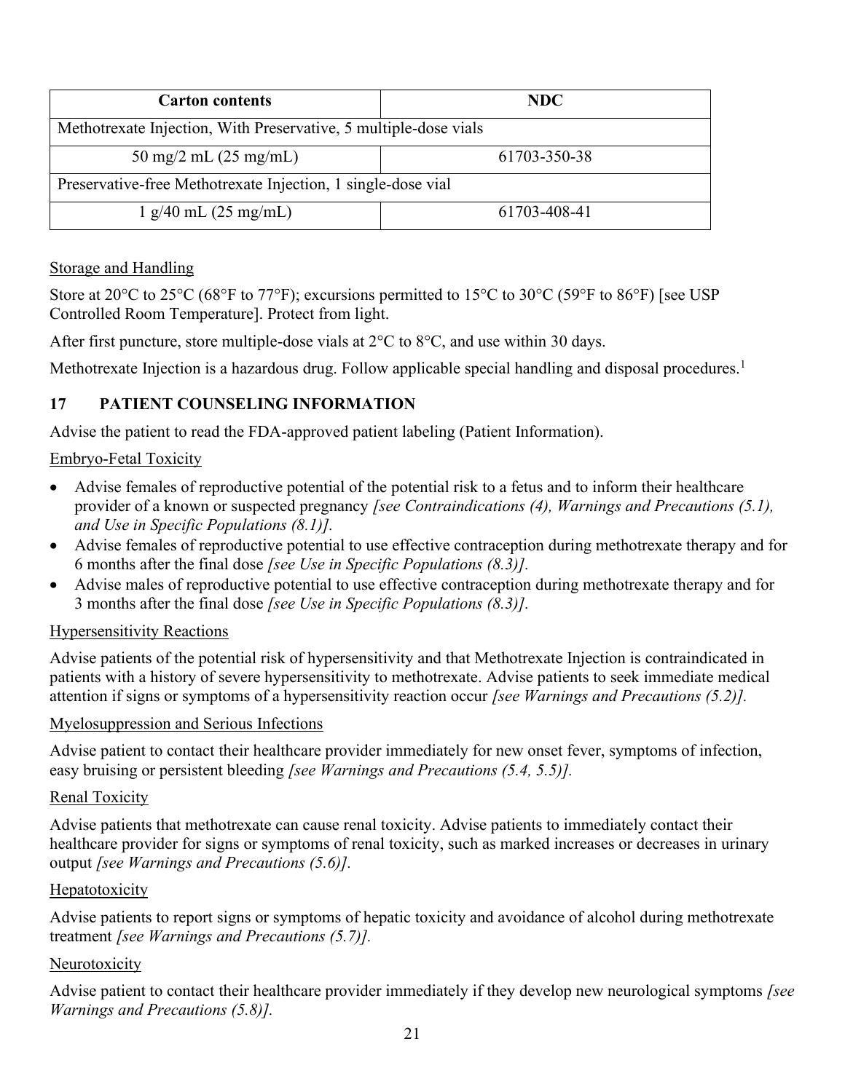| <b>Carton contents</b>                                           | NDC.         |  |  |
|------------------------------------------------------------------|--------------|--|--|
| Methotrexate Injection, With Preservative, 5 multiple-dose vials |              |  |  |
| 50 mg/2 mL $(25 \text{ mg/mL})$                                  | 61703-350-38 |  |  |
| Preservative-free Methotrexate Injection, 1 single-dose vial     |              |  |  |
| 1 g/40 mL (25 mg/mL)                                             | 61703-408-41 |  |  |

#### Storage and Handling

Store at 20<sup>o</sup>C to 25<sup>o</sup>C (68<sup>o</sup>F to 77<sup>o</sup>F); excursions permitted to 15<sup>o</sup>C to 30<sup>o</sup>C (59<sup>o</sup>F to 86<sup>o</sup>F) [see USP Controlled Room Temperature]. Protect from light.

After first puncture, store multiple-dose vials at 2°C to 8°C, and use within 30 days.

Methotrexate Injection is a hazardous drug. Follow applicable special handling and disposal procedures.<sup>1</sup>

# **17 PATIENT COUNSELING INFORMATION**

Advise the patient to read the FDA-approved patient labeling (Patient Information).

#### Embryo-Fetal Toxicity

- Advise females of reproductive potential of the potential risk to a fetus and to inform their healthcare provider of a known or suspected pregnancy *[see Contraindications (4), Warnings and Precautions (5.1), and Use in Specific Populations (8.1)].*
- Advise females of reproductive potential to use effective contraception during methotrexate therapy and for 6 months after the final dose *[see Use in Specific Populations (8.3)].*
- Advise males of reproductive potential to use effective contraception during methotrexate therapy and for 3 months after the final dose *[see Use in Specific Populations (8.3)].*

## Hypersensitivity Reactions

Advise patients of the potential risk of hypersensitivity and that Methotrexate Injection is contraindicated in patients with a history of severe hypersensitivity to methotrexate. Advise patients to seek immediate medical attention if signs or symptoms of a hypersensitivity reaction occur *[see Warnings and Precautions (5.2)].*

#### Myelosuppression and Serious Infections

Advise patient to contact their healthcare provider immediately for new onset fever, symptoms of infection, easy bruising or persistent bleeding *[see Warnings and Precautions (5.4, 5.5)].*

#### Renal Toxicity

Advise patients that methotrexate can cause renal toxicity. Advise patients to immediately contact their healthcare provider for signs or symptoms of renal toxicity, such as marked increases or decreases in urinary output *[see Warnings and Precautions (5.6)].*

#### Hepatotoxicity

Advise patients to report signs or symptoms of hepatic toxicity and avoidance of alcohol during methotrexate treatment *[see Warnings and Precautions (5.7)].*

#### Neurotoxicity

Advise patient to contact their healthcare provider immediately if they develop new neurological symptoms *[see Warnings and Precautions (5.8)].*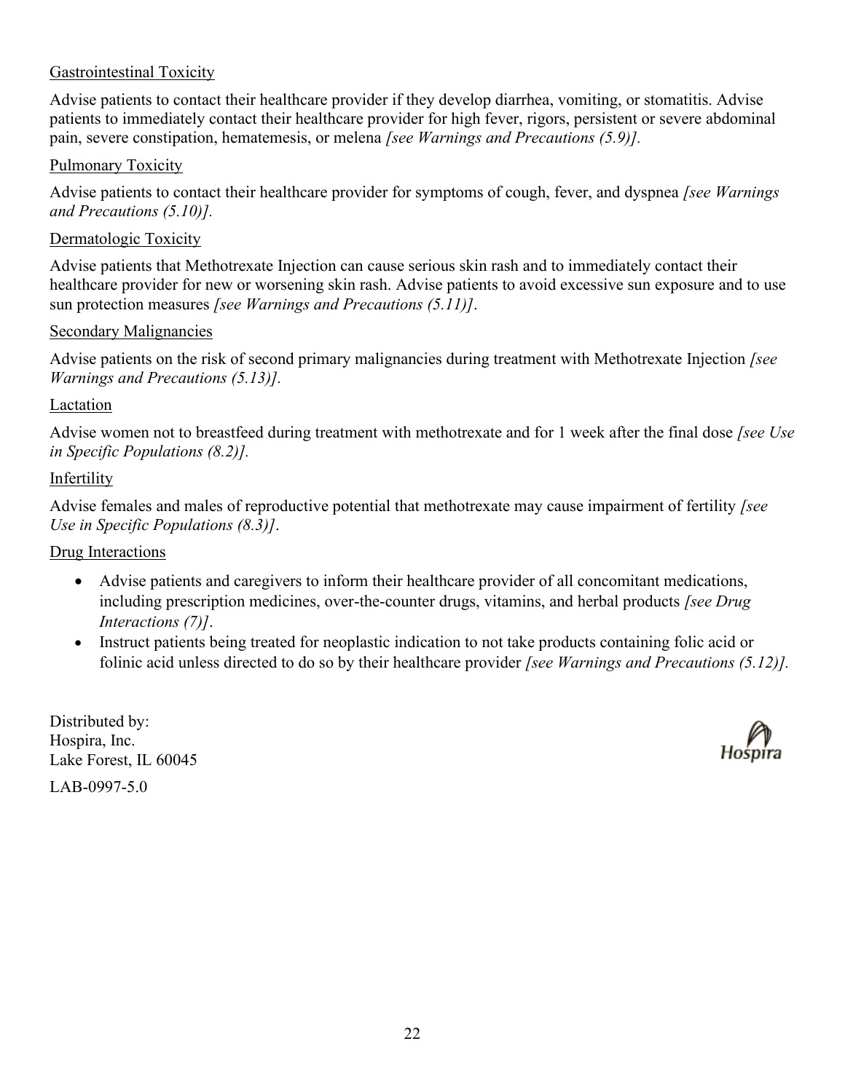#### Gastrointestinal Toxicity

Advise patients to contact their healthcare provider if they develop diarrhea, vomiting, or stomatitis. Advise patients to immediately contact their healthcare provider for high fever, rigors, persistent or severe abdominal pain, severe constipation, hematemesis, or melena *[see Warnings and Precautions (5.9)].*

#### Pulmonary Toxicity

Advise patients to contact their healthcare provider for symptoms of cough, fever, and dyspnea *[see Warnings and Precautions (5.10)].*

#### Dermatologic Toxicity

Advise patients that Methotrexate Injection can cause serious skin rash and to immediately contact their healthcare provider for new or worsening skin rash. Advise patients to avoid excessive sun exposure and to use sun protection measures *[see Warnings and Precautions (5.11)]*.

#### Secondary Malignancies

Advise patients on the risk of second primary malignancies during treatment with Methotrexate Injection *[see Warnings and Precautions (5.13)].*

#### Lactation

Advise women not to breastfeed during treatment with methotrexate and for 1 week after the final dose *[see Use in Specific Populations (8.2)].*

#### Infertility

Advise females and males of reproductive potential that methotrexate may cause impairment of fertility *[see Use in Specific Populations (8.3)]*.

#### Drug Interactions

- Advise patients and caregivers to inform their healthcare provider of all concomitant medications, including prescription medicines, over-the-counter drugs, vitamins, and herbal products *[see Drug Interactions (7)]*.
- Instruct patients being treated for neoplastic indication to not take products containing folic acid or folinic acid unless directed to do so by their healthcare provider *[see Warnings and Precautions (5.12)].*

Distributed by: Hospira, Inc. Lake Forest, IL 60045 LAB-0997-5.0

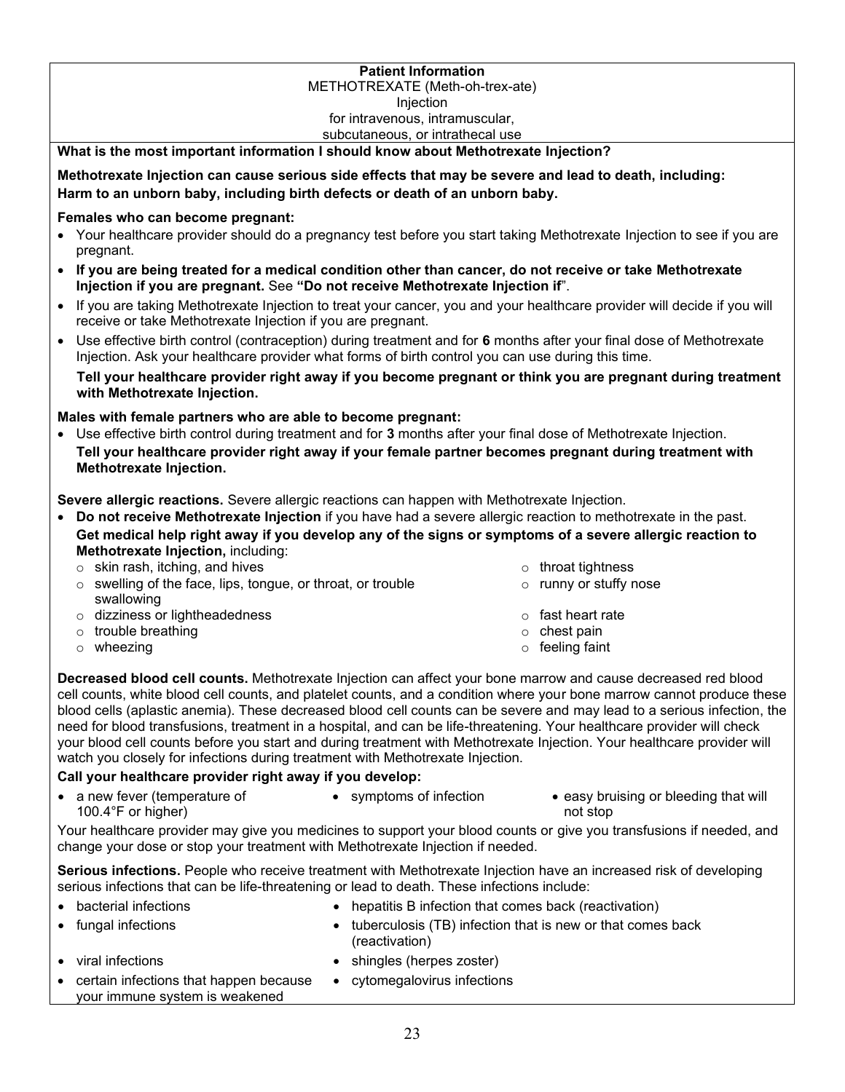#### **Patient Information**

#### METHOTREXATE (Meth-oh-trex-ate)

**Injection** 

#### for intravenous, intramuscular,

#### subcutaneous, or intrathecal use

#### **What is the most important information I should know about Methotrexate Injection?**

**Methotrexate Injection can cause serious side effects that may be severe and lead to death, including: Harm to an unborn baby, including birth defects or death of an unborn baby.**

#### **Females who can become pregnant:**

- Your healthcare provider should do a pregnancy test before you start taking Methotrexate Injection to see if you are pregnant.
- **If you are being treated for a medical condition other than cancer, do not receive or take Methotrexate Injection if you are pregnant.** See **"Do not receive Methotrexate Injection if**".
- If you are taking Methotrexate Injection to treat your cancer, you and your healthcare provider will decide if you will receive or take Methotrexate Injection if you are pregnant.
- Use effective birth control (contraception) during treatment and for **6** months after your final dose of Methotrexate Injection. Ask your healthcare provider what forms of birth control you can use during this time.

**Tell your healthcare provider right away if you become pregnant or think you are pregnant during treatment with Methotrexate Injection.**

#### **Males with female partners who are able to become pregnant:**

• Use effective birth control during treatment and for **3** months after your final dose of Methotrexate Injection. **Tell your healthcare provider right away if your female partner becomes pregnant during treatment with Methotrexate Injection.**

**Severe allergic reactions.** Severe allergic reactions can happen with Methotrexate Injection.

- **Do not receive Methotrexate Injection** if you have had a severe allergic reaction to methotrexate in the past. **Get medical help right away if you develop any of the signs or symptoms of a severe allergic reaction to Methotrexate Injection,** including:
	- $\circ$  skin rash, itching, and hives on the set of the set of the set of throat tightness
	- o swelling of the face, lips, tongue, or throat, or trouble swallowing
	- o dizziness or lightheadedness o fast heart rate
	- $\circ$  trouble breathing  $\circ$  chest pain
- o runny or stuffy nose
- -
	- o wheezing **o feeling** faint
- **Decreased blood cell counts.** Methotrexate Injection can affect your bone marrow and cause decreased red blood cell counts, white blood cell counts, and platelet counts, and a condition where your bone marrow cannot produce these blood cells (aplastic anemia). These decreased blood cell counts can be severe and may lead to a serious infection, the need for blood transfusions, treatment in a hospital, and can be life-threatening. Your healthcare provider will check your blood cell counts before you start and during treatment with Methotrexate Injection. Your healthcare provider will watch you closely for infections during treatment with Methotrexate Injection.

#### **Call your healthcare provider right away if you develop:**

• a new fever (temperature of 100.4°F or higher) • symptoms of infection • easy bruising or bleeding that will not stop

Your healthcare provider may give you medicines to support your blood counts or give you transfusions if needed, and change your dose or stop your treatment with Methotrexate Injection if needed.

**Serious infections.** People who receive treatment with Methotrexate Injection have an increased risk of developing serious infections that can be life-threatening or lead to death. These infections include:

- 
- bacterial infections hepatitis B infection that comes back (reactivation)
- fungal infections tuberculosis (TB) infection that is new or that comes back (reactivation)
- 
- viral infections **•** shingles (herpes zoster)

• cytomegalovirus infections

• certain infections that happen because your immune system is weakened

- 
-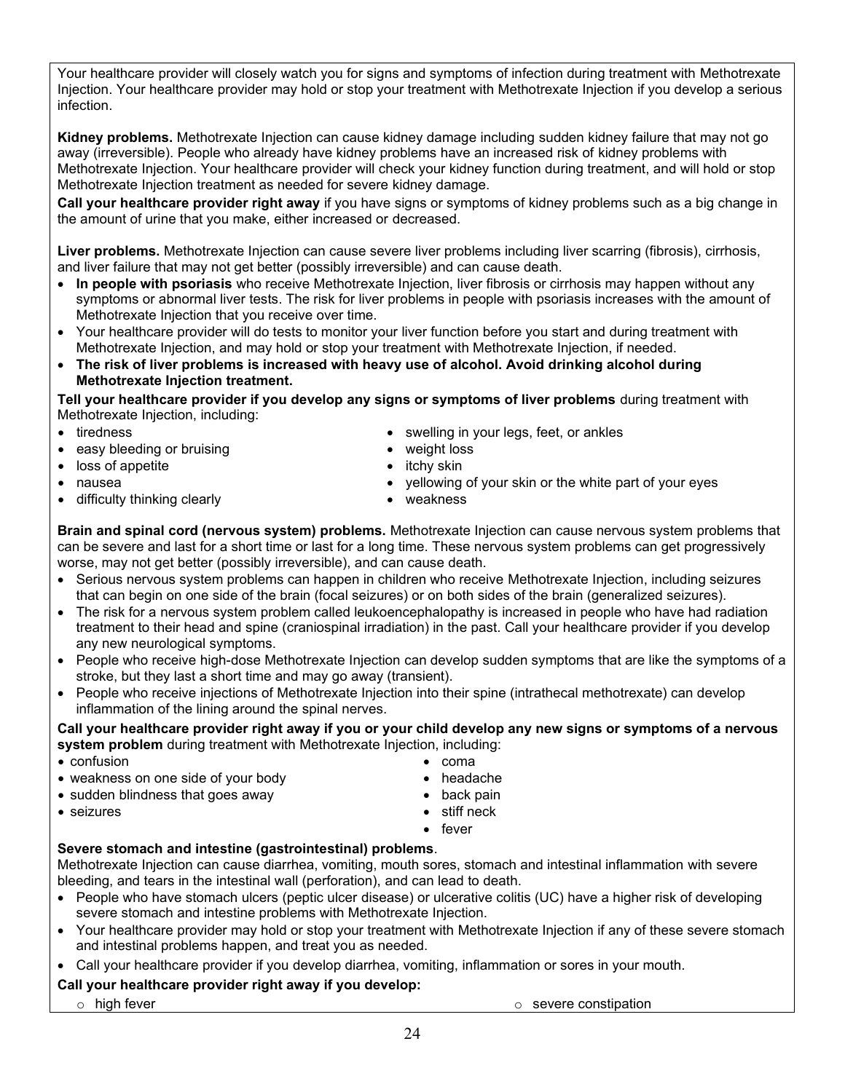Your healthcare provider will closely watch you for signs and symptoms of infection during treatment with Methotrexate Injection. Your healthcare provider may hold or stop your treatment with Methotrexate Injection if you develop a serious infection.

**Kidney problems.** Methotrexate Injection can cause kidney damage including sudden kidney failure that may not go away (irreversible). People who already have kidney problems have an increased risk of kidney problems with Methotrexate Injection. Your healthcare provider will check your kidney function during treatment, and will hold or stop Methotrexate Injection treatment as needed for severe kidney damage.

**Call your healthcare provider right away** if you have signs or symptoms of kidney problems such as a big change in the amount of urine that you make, either increased or decreased.

**Liver problems.** Methotrexate Injection can cause severe liver problems including liver scarring (fibrosis), cirrhosis, and liver failure that may not get better (possibly irreversible) and can cause death.

- **In people with psoriasis** who receive Methotrexate Injection, liver fibrosis or cirrhosis may happen without any symptoms or abnormal liver tests. The risk for liver problems in people with psoriasis increases with the amount of Methotrexate Injection that you receive over time.
- Your healthcare provider will do tests to monitor your liver function before you start and during treatment with Methotrexate Injection, and may hold or stop your treatment with Methotrexate Injection, if needed.
- **The risk of liver problems is increased with heavy use of alcohol. Avoid drinking alcohol during Methotrexate Injection treatment.**

#### **Tell your healthcare provider if you develop any signs or symptoms of liver problems** during treatment with Methotrexate Injection, including: • tiredness • swelling in your legs, feet, or ankles

- 
- easy bleeding or bruising example of the state of the weight loss
- loss of appetite **•** itchy skin
- nausea yellowing of your skin or the white part of your eyes
- difficulty thinking clearly entitled the state of the weakness
- 

**Brain and spinal cord (nervous system) problems.** Methotrexate Injection can cause nervous system problems that can be severe and last for a short time or last for a long time. These nervous system problems can get progressively worse, may not get better (possibly irreversible), and can cause death.

- Serious nervous system problems can happen in children who receive Methotrexate Injection, including seizures that can begin on one side of the brain (focal seizures) or on both sides of the brain (generalized seizures).
- The risk for a nervous system problem called leukoencephalopathy is increased in people who have had radiation treatment to their head and spine (craniospinal irradiation) in the past. Call your healthcare provider if you develop any new neurological symptoms.
- People who receive high-dose Methotrexate Injection can develop sudden symptoms that are like the symptoms of a stroke, but they last a short time and may go away (transient).
- People who receive injections of Methotrexate Injection into their spine (intrathecal methotrexate) can develop inflammation of the lining around the spinal nerves.

**Call your healthcare provider right away if you or your child develop any new signs or symptoms of a nervous system problem** during treatment with Methotrexate Injection, including:

- confusion confusion coma
- weakness on one side of your body **•** headache
- sudden blindness that goes away back pain
- seizures stiff neck
	-
	- fever

#### **Severe stomach and intestine (gastrointestinal) problems**.

Methotrexate Injection can cause diarrhea, vomiting, mouth sores, stomach and intestinal inflammation with severe bleeding, and tears in the intestinal wall (perforation), and can lead to death.

- People who have stomach ulcers (peptic ulcer disease) or ulcerative colitis (UC) have a higher risk of developing severe stomach and intestine problems with Methotrexate Injection.
- Your healthcare provider may hold or stop your treatment with Methotrexate Injection if any of these severe stomach and intestinal problems happen, and treat you as needed.
- Call your healthcare provider if you develop diarrhea, vomiting, inflammation or sores in your mouth.

#### **Call your healthcare provider right away if you develop:**

o high fever on the severe constipation of  $\sim$  severe constipation of  $\sim$  severe constipation

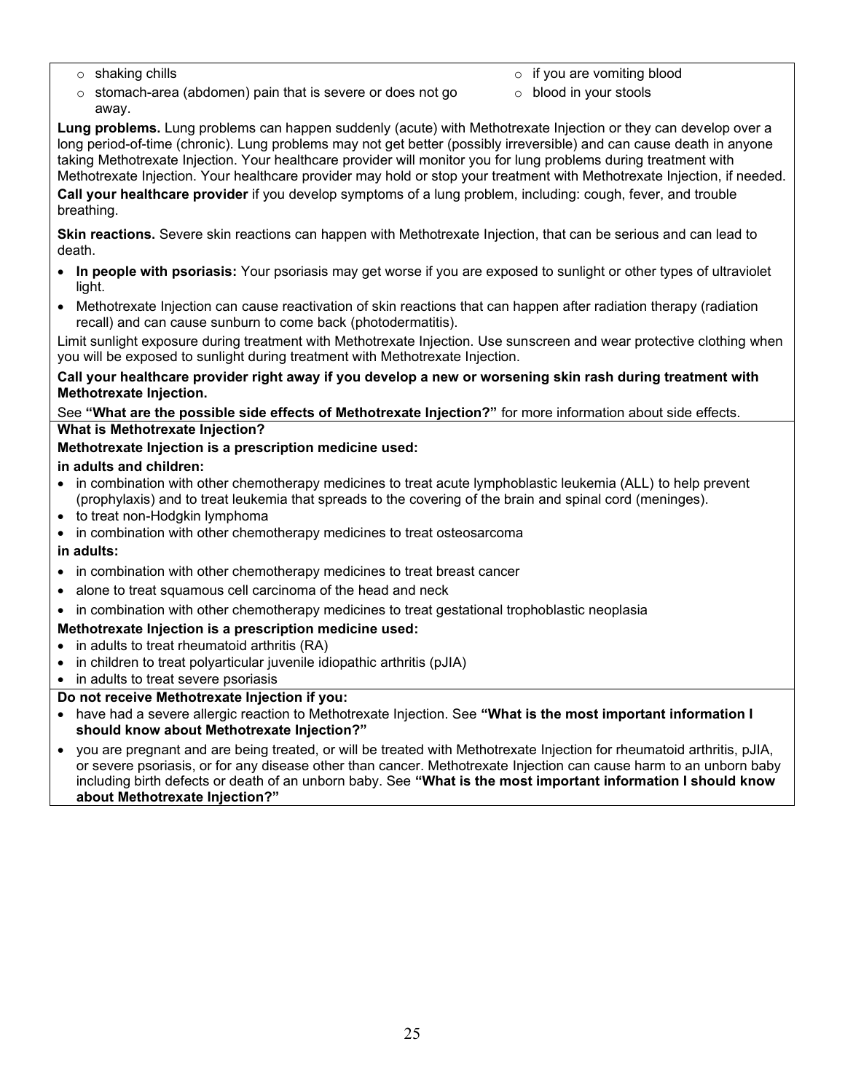- 
- o shaking chills o if you are vomiting blood
- o stomach-area (abdomen) pain that is severe or does not go away.
- o blood in your stools

**Lung problems.** Lung problems can happen suddenly (acute) with Methotrexate Injection or they can develop over a long period-of-time (chronic). Lung problems may not get better (possibly irreversible) and can cause death in anyone taking Methotrexate Injection. Your healthcare provider will monitor you for lung problems during treatment with Methotrexate Injection. Your healthcare provider may hold or stop your treatment with Methotrexate Injection, if needed.

**Call your healthcare provider** if you develop symptoms of a lung problem, including: cough, fever, and trouble breathing.

**Skin reactions.** Severe skin reactions can happen with Methotrexate Injection, that can be serious and can lead to death.

- **In people with psoriasis:** Your psoriasis may get worse if you are exposed to sunlight or other types of ultraviolet light.
- Methotrexate Injection can cause reactivation of skin reactions that can happen after radiation therapy (radiation recall) and can cause sunburn to come back (photodermatitis).

Limit sunlight exposure during treatment with Methotrexate Injection. Use sunscreen and wear protective clothing when you will be exposed to sunlight during treatment with Methotrexate Injection.

#### **Call your healthcare provider right away if you develop a new or worsening skin rash during treatment with Methotrexate Injection.**

See **"What are the possible side effects of Methotrexate Injection?"** for more information about side effects. **What is Methotrexate Injection?**

**Methotrexate Injection is a prescription medicine used:** 

**in adults and children:**

- in combination with other chemotherapy medicines to treat acute lymphoblastic leukemia (ALL) to help prevent (prophylaxis) and to treat leukemia that spreads to the covering of the brain and spinal cord (meninges).
- to treat non-Hodgkin lymphoma
- in combination with other chemotherapy medicines to treat osteosarcoma

**in adults:**

- in combination with other chemotherapy medicines to treat breast cancer
- alone to treat squamous cell carcinoma of the head and neck
- in combination with other chemotherapy medicines to treat gestational trophoblastic neoplasia

#### **Methotrexate Injection is a prescription medicine used:**

- in adults to treat rheumatoid arthritis (RA)
- in children to treat polyarticular juvenile idiopathic arthritis (pJIA)
- in adults to treat severe psoriasis

#### **Do not receive Methotrexate Injection if you:**

- have had a severe allergic reaction to Methotrexate Injection. See **"What is the most important information I should know about Methotrexate Injection?"**
- you are pregnant and are being treated, or will be treated with Methotrexate Injection for rheumatoid arthritis, pJIA, or severe psoriasis, or for any disease other than cancer. Methotrexate Injection can cause harm to an unborn baby including birth defects or death of an unborn baby. See **"What is the most important information I should know about Methotrexate Injection?"**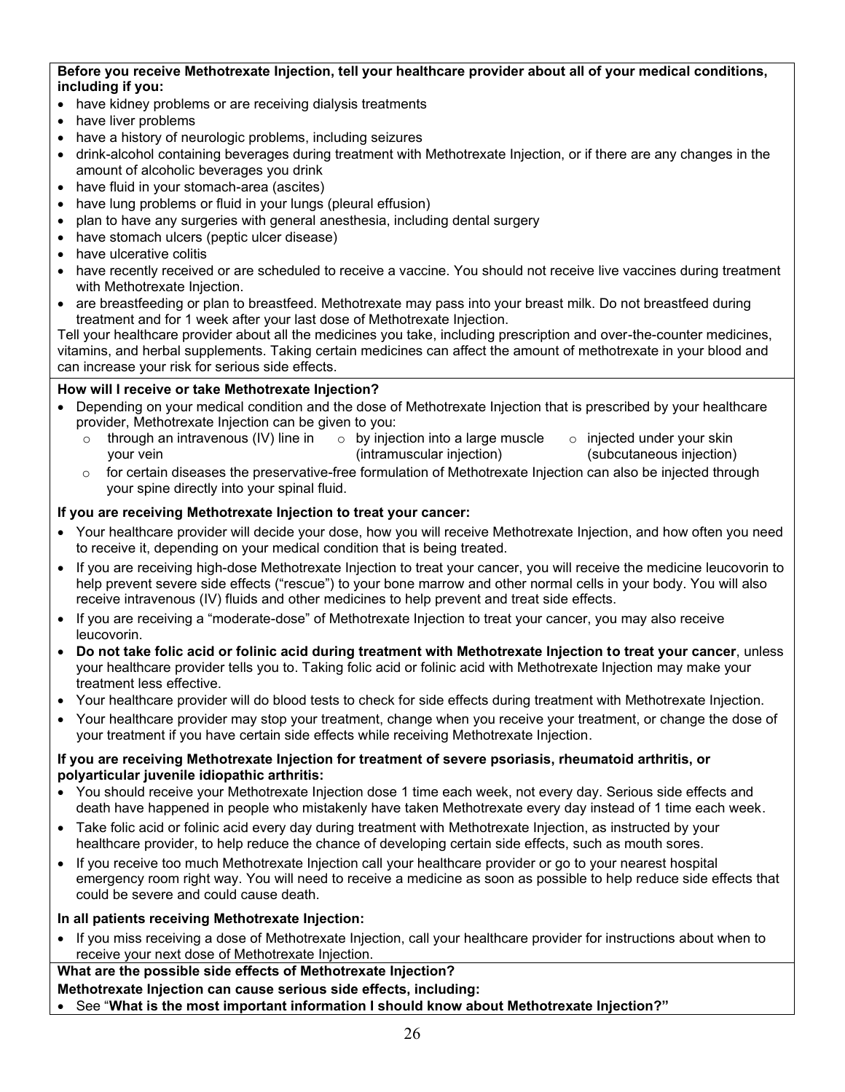#### **Before you receive Methotrexate Injection, tell your healthcare provider about all of your medical conditions, including if you:**

- have kidney problems or are receiving dialysis treatments
- have liver problems
- have a history of neurologic problems, including seizures
- drink-alcohol containing beverages during treatment with Methotrexate Injection, or if there are any changes in the amount of alcoholic beverages you drink
- have fluid in your stomach-area (ascites)
- have lung problems or fluid in your lungs (pleural effusion)
- plan to have any surgeries with general anesthesia, including dental surgery
- have stomach ulcers (peptic ulcer disease)
- have ulcerative colitis
- have recently received or are scheduled to receive a vaccine. You should not receive live vaccines during treatment with Methotrexate Injection.
- are breastfeeding or plan to breastfeed. Methotrexate may pass into your breast milk. Do not breastfeed during treatment and for 1 week after your last dose of Methotrexate Injection.

Tell your healthcare provider about all the medicines you take, including prescription and over-the-counter medicines, vitamins, and herbal supplements. Taking certain medicines can affect the amount of methotrexate in your blood and can increase your risk for serious side effects.

#### **How will I receive or take Methotrexate Injection?**

- Depending on your medical condition and the dose of Methotrexate Injection that is prescribed by your healthcare provider, Methotrexate Injection can be given to you:
	- o through an intravenous (IV) line in your vein  $\circ$  by injection into a large muscle (intramuscular injection) o injected under your skin (subcutaneous injection)
	- for certain diseases the preservative-free formulation of Methotrexate Injection can also be injected through your spine directly into your spinal fluid.

#### **If you are receiving Methotrexate Injection to treat your cancer:**

- Your healthcare provider will decide your dose, how you will receive Methotrexate Injection, and how often you need to receive it, depending on your medical condition that is being treated.
- If you are receiving high-dose Methotrexate Injection to treat your cancer, you will receive the medicine leucovorin to help prevent severe side effects ("rescue") to your bone marrow and other normal cells in your body. You will also receive intravenous (IV) fluids and other medicines to help prevent and treat side effects.
- If you are receiving a "moderate-dose" of Methotrexate Injection to treat your cancer, you may also receive leucovorin.
- **Do not take folic acid or folinic acid during treatment with Methotrexate Injection to treat your cancer**, unless your healthcare provider tells you to. Taking folic acid or folinic acid with Methotrexate Injection may make your treatment less effective.
- Your healthcare provider will do blood tests to check for side effects during treatment with Methotrexate Injection.
- Your healthcare provider may stop your treatment, change when you receive your treatment, or change the dose of your treatment if you have certain side effects while receiving Methotrexate Injection.

#### **If you are receiving Methotrexate Injection for treatment of severe psoriasis, rheumatoid arthritis, or polyarticular juvenile idiopathic arthritis:**

- You should receive your Methotrexate Injection dose 1 time each week, not every day. Serious side effects and death have happened in people who mistakenly have taken Methotrexate every day instead of 1 time each week.
- Take folic acid or folinic acid every day during treatment with Methotrexate Injection, as instructed by your healthcare provider, to help reduce the chance of developing certain side effects, such as mouth sores.
- If you receive too much Methotrexate Injection call your healthcare provider or go to your nearest hospital emergency room right way. You will need to receive a medicine as soon as possible to help reduce side effects that could be severe and could cause death.

#### **In all patients receiving Methotrexate Injection:**

• If you miss receiving a dose of Methotrexate Injection, call your healthcare provider for instructions about when to receive your next dose of Methotrexate Injection.

**What are the possible side effects of Methotrexate Injection?**

**Methotrexate Injection can cause serious side effects, including:**

• See "**What is the most important information I should know about Methotrexate Injection?"**